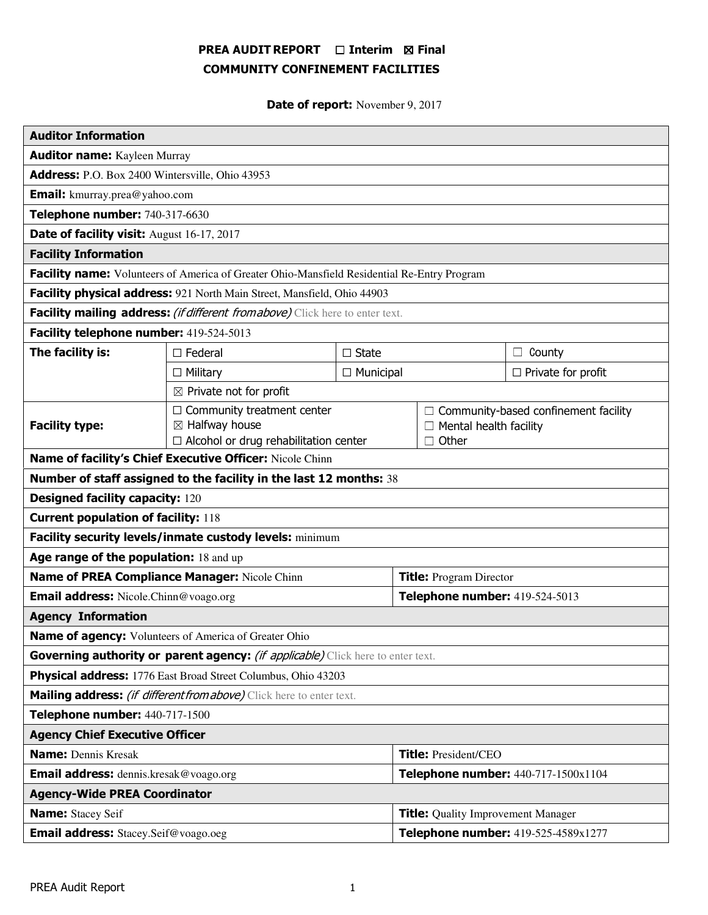# PREA AUDIT REPORT □ Interim 図 Final COMMUNITY CONFINEMENT FACILITIES

Date of report: November 9, 2017

| <b>Auditor Information</b>                                                                  |                                                                                                           |                  |                                           |                                                                              |                           |
|---------------------------------------------------------------------------------------------|-----------------------------------------------------------------------------------------------------------|------------------|-------------------------------------------|------------------------------------------------------------------------------|---------------------------|
| <b>Auditor name:</b> Kayleen Murray                                                         |                                                                                                           |                  |                                           |                                                                              |                           |
| Address: P.O. Box 2400 Wintersville, Ohio 43953                                             |                                                                                                           |                  |                                           |                                                                              |                           |
| <b>Email:</b> kmurray.prea@yahoo.com                                                        |                                                                                                           |                  |                                           |                                                                              |                           |
| Telephone number: 740-317-6630                                                              |                                                                                                           |                  |                                           |                                                                              |                           |
| Date of facility visit: August 16-17, 2017                                                  |                                                                                                           |                  |                                           |                                                                              |                           |
| <b>Facility Information</b>                                                                 |                                                                                                           |                  |                                           |                                                                              |                           |
| Facility name: Volunteers of America of Greater Ohio-Mansfield Residential Re-Entry Program |                                                                                                           |                  |                                           |                                                                              |                           |
| Facility physical address: 921 North Main Street, Mansfield, Ohio 44903                     |                                                                                                           |                  |                                           |                                                                              |                           |
| Facility mailing address: (if different from above) Click here to enter text.               |                                                                                                           |                  |                                           |                                                                              |                           |
| Facility telephone number: 419-524-5013                                                     |                                                                                                           |                  |                                           |                                                                              |                           |
| The facility is:                                                                            | $\Box$ Federal                                                                                            | $\square$ State  |                                           |                                                                              | $\Box$ County             |
|                                                                                             | $\Box$ Military                                                                                           | $\Box$ Municipal |                                           |                                                                              | $\Box$ Private for profit |
| $\boxtimes$ Private not for profit                                                          |                                                                                                           |                  |                                           |                                                                              |                           |
| <b>Facility type:</b>                                                                       | $\Box$ Community treatment center<br>$\boxtimes$ Halfway house<br>□ Alcohol or drug rehabilitation center |                  | $\Box$ Other                              | $\Box$ Community-based confinement facility<br>$\Box$ Mental health facility |                           |
| Name of facility's Chief Executive Officer: Nicole Chinn                                    |                                                                                                           |                  |                                           |                                                                              |                           |
| Number of staff assigned to the facility in the last 12 months: 38                          |                                                                                                           |                  |                                           |                                                                              |                           |
| <b>Designed facility capacity: 120</b>                                                      |                                                                                                           |                  |                                           |                                                                              |                           |
| <b>Current population of facility: 118</b>                                                  |                                                                                                           |                  |                                           |                                                                              |                           |
| Facility security levels/inmate custody levels: minimum                                     |                                                                                                           |                  |                                           |                                                                              |                           |
| Age range of the population: 18 and up                                                      |                                                                                                           |                  |                                           |                                                                              |                           |
| Name of PREA Compliance Manager: Nicole Chinn                                               |                                                                                                           |                  | <b>Title: Program Director</b>            |                                                                              |                           |
| <b>Email address:</b> Nicole.Chinn@voago.org                                                |                                                                                                           |                  | Telephone number: 419-524-5013            |                                                                              |                           |
| <b>Agency Information</b>                                                                   |                                                                                                           |                  |                                           |                                                                              |                           |
| <b>Name of agency:</b> Volunteers of America of Greater Ohio                                |                                                                                                           |                  |                                           |                                                                              |                           |
| Governing authority or parent agency: <i>(if applicable)</i> Click here to enter text.      |                                                                                                           |                  |                                           |                                                                              |                           |
| Physical address: 1776 East Broad Street Columbus, Ohio 43203                               |                                                                                                           |                  |                                           |                                                                              |                           |
| Mailing address: <i>(if different from above)</i> Click here to enter text.                 |                                                                                                           |                  |                                           |                                                                              |                           |
| Telephone number: 440-717-1500                                                              |                                                                                                           |                  |                                           |                                                                              |                           |
| <b>Agency Chief Executive Officer</b>                                                       |                                                                                                           |                  |                                           |                                                                              |                           |
| <b>Name: Dennis Kresak</b>                                                                  |                                                                                                           |                  | <b>Title:</b> President/CEO               |                                                                              |                           |
| <b>Email address:</b> dennis.kresak@voago.org                                               |                                                                                                           |                  | Telephone number: 440-717-1500x1104       |                                                                              |                           |
| <b>Agency-Wide PREA Coordinator</b>                                                         |                                                                                                           |                  |                                           |                                                                              |                           |
| <b>Name:</b> Stacey Seif                                                                    |                                                                                                           |                  | <b>Title:</b> Quality Improvement Manager |                                                                              |                           |
| <b>Email address:</b> Stacey.Seif@voago.oeg                                                 |                                                                                                           |                  | Telephone number: 419-525-4589x1277       |                                                                              |                           |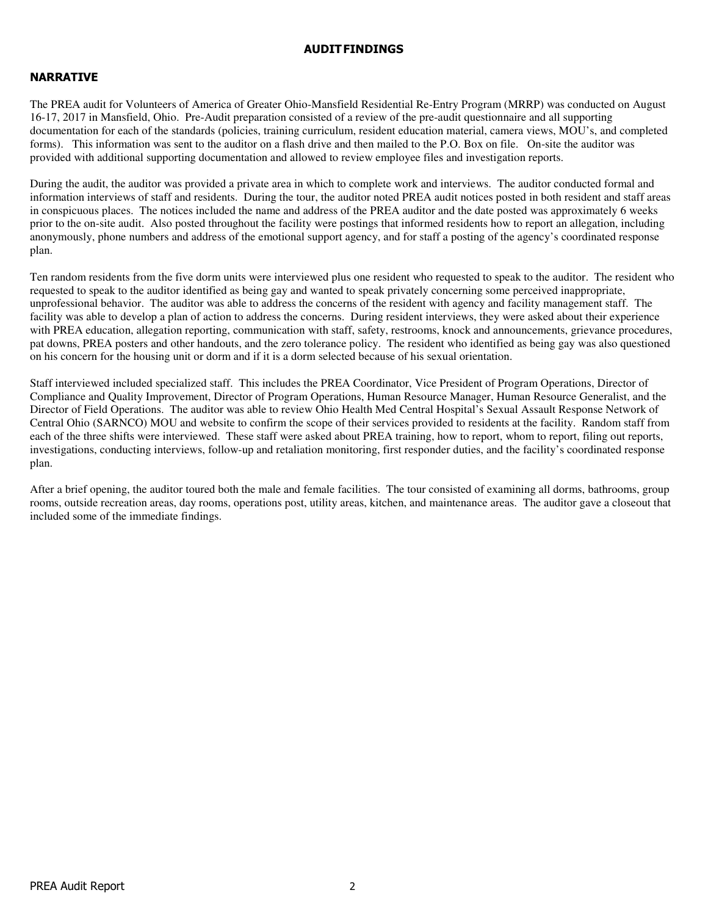### AUDIT FINDINGS

## NARRATIVE

The PREA audit for Volunteers of America of Greater Ohio-Mansfield Residential Re-Entry Program (MRRP) was conducted on August 16-17, 2017 in Mansfield, Ohio. Pre-Audit preparation consisted of a review of the pre-audit questionnaire and all supporting documentation for each of the standards (policies, training curriculum, resident education material, camera views, MOU's, and completed forms). This information was sent to the auditor on a flash drive and then mailed to the P.O. Box on file. On-site the auditor was provided with additional supporting documentation and allowed to review employee files and investigation reports.

During the audit, the auditor was provided a private area in which to complete work and interviews. The auditor conducted formal and information interviews of staff and residents. During the tour, the auditor noted PREA audit notices posted in both resident and staff areas in conspicuous places. The notices included the name and address of the PREA auditor and the date posted was approximately 6 weeks prior to the on-site audit. Also posted throughout the facility were postings that informed residents how to report an allegation, including anonymously, phone numbers and address of the emotional support agency, and for staff a posting of the agency's coordinated response plan.

Ten random residents from the five dorm units were interviewed plus one resident who requested to speak to the auditor. The resident who requested to speak to the auditor identified as being gay and wanted to speak privately concerning some perceived inappropriate, unprofessional behavior. The auditor was able to address the concerns of the resident with agency and facility management staff. The facility was able to develop a plan of action to address the concerns. During resident interviews, they were asked about their experience with PREA education, allegation reporting, communication with staff, safety, restrooms, knock and announcements, grievance procedures, pat downs, PREA posters and other handouts, and the zero tolerance policy. The resident who identified as being gay was also questioned on his concern for the housing unit or dorm and if it is a dorm selected because of his sexual orientation.

Staff interviewed included specialized staff. This includes the PREA Coordinator, Vice President of Program Operations, Director of Compliance and Quality Improvement, Director of Program Operations, Human Resource Manager, Human Resource Generalist, and the Director of Field Operations. The auditor was able to review Ohio Health Med Central Hospital's Sexual Assault Response Network of Central Ohio (SARNCO) MOU and website to confirm the scope of their services provided to residents at the facility. Random staff from each of the three shifts were interviewed. These staff were asked about PREA training, how to report, whom to report, filing out reports, investigations, conducting interviews, follow-up and retaliation monitoring, first responder duties, and the facility's coordinated response plan.

After a brief opening, the auditor toured both the male and female facilities. The tour consisted of examining all dorms, bathrooms, group rooms, outside recreation areas, day rooms, operations post, utility areas, kitchen, and maintenance areas. The auditor gave a closeout that included some of the immediate findings.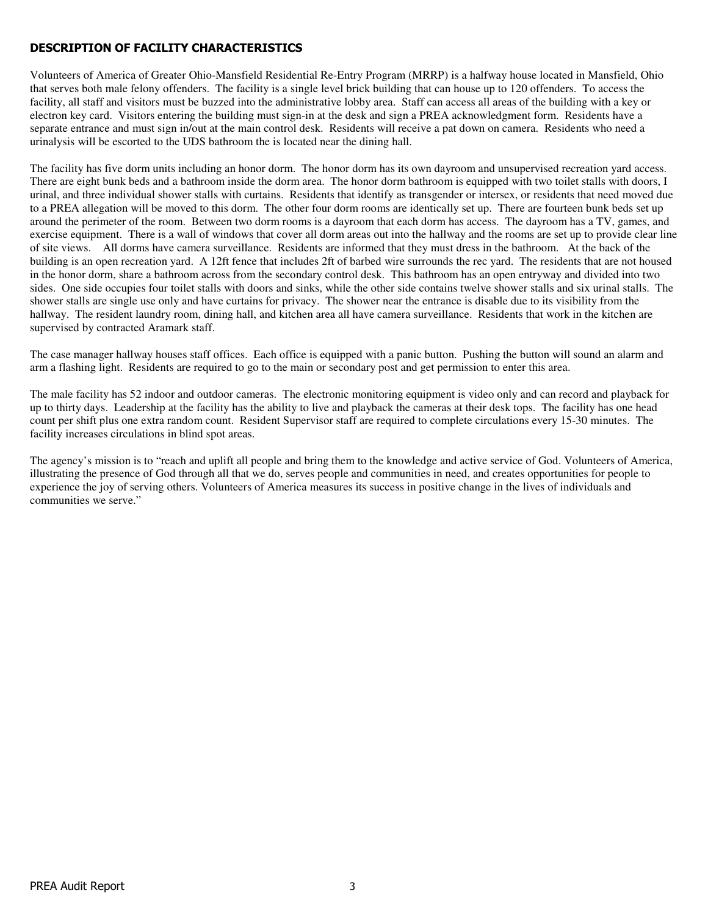## DESCRIPTION OF FACILITY CHARACTERISTICS

Volunteers of America of Greater Ohio-Mansfield Residential Re-Entry Program (MRRP) is a halfway house located in Mansfield, Ohio that serves both male felony offenders. The facility is a single level brick building that can house up to 120 offenders. To access the facility, all staff and visitors must be buzzed into the administrative lobby area. Staff can access all areas of the building with a key or electron key card. Visitors entering the building must sign-in at the desk and sign a PREA acknowledgment form. Residents have a separate entrance and must sign in/out at the main control desk. Residents will receive a pat down on camera. Residents who need a urinalysis will be escorted to the UDS bathroom the is located near the dining hall.

The facility has five dorm units including an honor dorm. The honor dorm has its own dayroom and unsupervised recreation yard access. There are eight bunk beds and a bathroom inside the dorm area. The honor dorm bathroom is equipped with two toilet stalls with doors, I urinal, and three individual shower stalls with curtains. Residents that identify as transgender or intersex, or residents that need moved due to a PREA allegation will be moved to this dorm. The other four dorm rooms are identically set up. There are fourteen bunk beds set up around the perimeter of the room. Between two dorm rooms is a dayroom that each dorm has access. The dayroom has a TV, games, and exercise equipment. There is a wall of windows that cover all dorm areas out into the hallway and the rooms are set up to provide clear line of site views. All dorms have camera surveillance. Residents are informed that they must dress in the bathroom. At the back of the building is an open recreation yard. A 12ft fence that includes 2ft of barbed wire surrounds the rec yard. The residents that are not housed in the honor dorm, share a bathroom across from the secondary control desk. This bathroom has an open entryway and divided into two sides. One side occupies four toilet stalls with doors and sinks, while the other side contains twelve shower stalls and six urinal stalls. The shower stalls are single use only and have curtains for privacy. The shower near the entrance is disable due to its visibility from the hallway. The resident laundry room, dining hall, and kitchen area all have camera surveillance. Residents that work in the kitchen are supervised by contracted Aramark staff.

The case manager hallway houses staff offices. Each office is equipped with a panic button. Pushing the button will sound an alarm and arm a flashing light. Residents are required to go to the main or secondary post and get permission to enter this area.

The male facility has 52 indoor and outdoor cameras. The electronic monitoring equipment is video only and can record and playback for up to thirty days. Leadership at the facility has the ability to live and playback the cameras at their desk tops. The facility has one head count per shift plus one extra random count. Resident Supervisor staff are required to complete circulations every 15-30 minutes. The facility increases circulations in blind spot areas.

The agency's mission is to "reach and uplift all people and bring them to the knowledge and active service of God. Volunteers of America, illustrating the presence of God through all that we do, serves people and communities in need, and creates opportunities for people to experience the joy of serving others. Volunteers of America measures its success in positive change in the lives of individuals and communities we serve."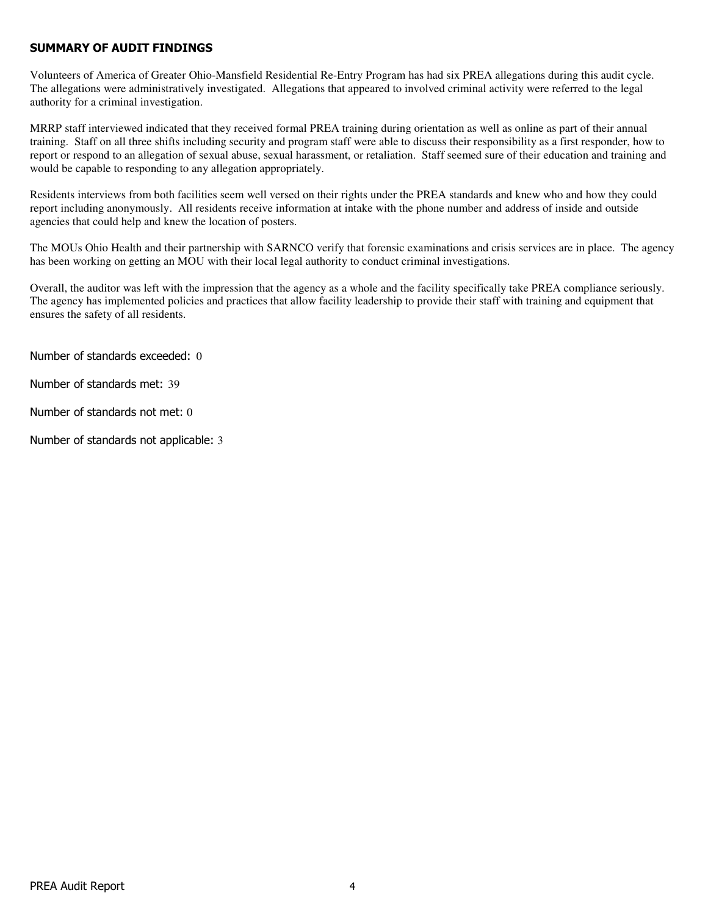## SUMMARY OF AUDIT FINDINGS

Volunteers of America of Greater Ohio-Mansfield Residential Re-Entry Program has had six PREA allegations during this audit cycle. The allegations were administratively investigated. Allegations that appeared to involved criminal activity were referred to the legal authority for a criminal investigation.

MRRP staff interviewed indicated that they received formal PREA training during orientation as well as online as part of their annual training. Staff on all three shifts including security and program staff were able to discuss their responsibility as a first responder, how to report or respond to an allegation of sexual abuse, sexual harassment, or retaliation. Staff seemed sure of their education and training and would be capable to responding to any allegation appropriately.

Residents interviews from both facilities seem well versed on their rights under the PREA standards and knew who and how they could report including anonymously. All residents receive information at intake with the phone number and address of inside and outside agencies that could help and knew the location of posters.

The MOUs Ohio Health and their partnership with SARNCO verify that forensic examinations and crisis services are in place. The agency has been working on getting an MOU with their local legal authority to conduct criminal investigations.

Overall, the auditor was left with the impression that the agency as a whole and the facility specifically take PREA compliance seriously. The agency has implemented policies and practices that allow facility leadership to provide their staff with training and equipment that ensures the safety of all residents.

Number of standards exceeded: 0

Number of standards met: 39

Number of standards not met: 0

Number of standards not applicable: 3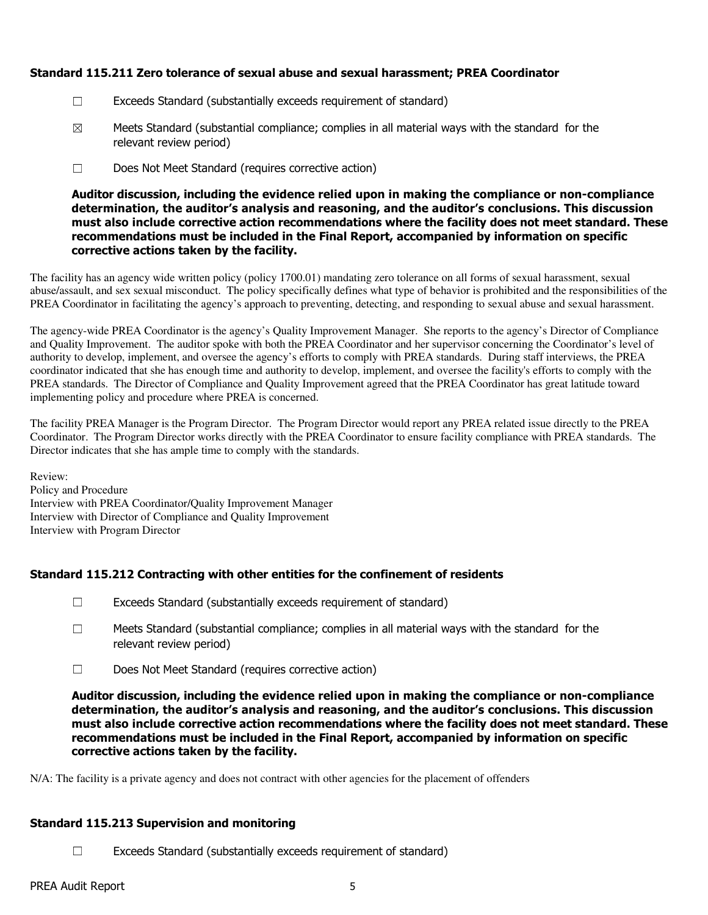## Standard 115.211 Zero tolerance of sexual abuse and sexual harassment; PREA Coordinator

- ☐ Exceeds Standard (substantially exceeds requirement of standard)
- $\boxtimes$  Meets Standard (substantial compliance; complies in all material ways with the standard for the relevant review period)
- ☐ Does Not Meet Standard (requires corrective action)

Auditor discussion, including the evidence relied upon in making the compliance or non-compliance determination, the auditor's analysis and reasoning, and the auditor's conclusions. This discussion must also include corrective action recommendations where the facility does not meet standard. These recommendations must be included in the Final Report, accompanied by information on specific corrective actions taken by the facility.

The facility has an agency wide written policy (policy 1700.01) mandating zero tolerance on all forms of sexual harassment, sexual abuse/assault, and sex sexual misconduct. The policy specifically defines what type of behavior is prohibited and the responsibilities of the PREA Coordinator in facilitating the agency's approach to preventing, detecting, and responding to sexual abuse and sexual harassment.

The agency-wide PREA Coordinator is the agency's Quality Improvement Manager. She reports to the agency's Director of Compliance and Quality Improvement. The auditor spoke with both the PREA Coordinator and her supervisor concerning the Coordinator's level of authority to develop, implement, and oversee the agency's efforts to comply with PREA standards. During staff interviews, the PREA coordinator indicated that she has enough time and authority to develop, implement, and oversee the facility's efforts to comply with the PREA standards. The Director of Compliance and Quality Improvement agreed that the PREA Coordinator has great latitude toward implementing policy and procedure where PREA is concerned.

The facility PREA Manager is the Program Director. The Program Director would report any PREA related issue directly to the PREA Coordinator. The Program Director works directly with the PREA Coordinator to ensure facility compliance with PREA standards. The Director indicates that she has ample time to comply with the standards.

Review: Policy and Procedure Interview with PREA Coordinator/Quality Improvement Manager Interview with Director of Compliance and Quality Improvement Interview with Program Director

## Standard 115.212 Contracting with other entities for the confinement of residents

- $\Box$  Exceeds Standard (substantially exceeds requirement of standard)
- ☐ Meets Standard (substantial compliance; complies in all material ways with the standard for the relevant review period)
- ☐ Does Not Meet Standard (requires corrective action)

Auditor discussion, including the evidence relied upon in making the compliance or non-compliance determination, the auditor's analysis and reasoning, and the auditor's conclusions. This discussion must also include corrective action recommendations where the facility does not meet standard. These recommendations must be included in the Final Report, accompanied by information on specific corrective actions taken by the facility.

N/A: The facility is a private agency and does not contract with other agencies for the placement of offenders

## Standard 115.213 Supervision and monitoring

 $\Box$  Exceeds Standard (substantially exceeds requirement of standard)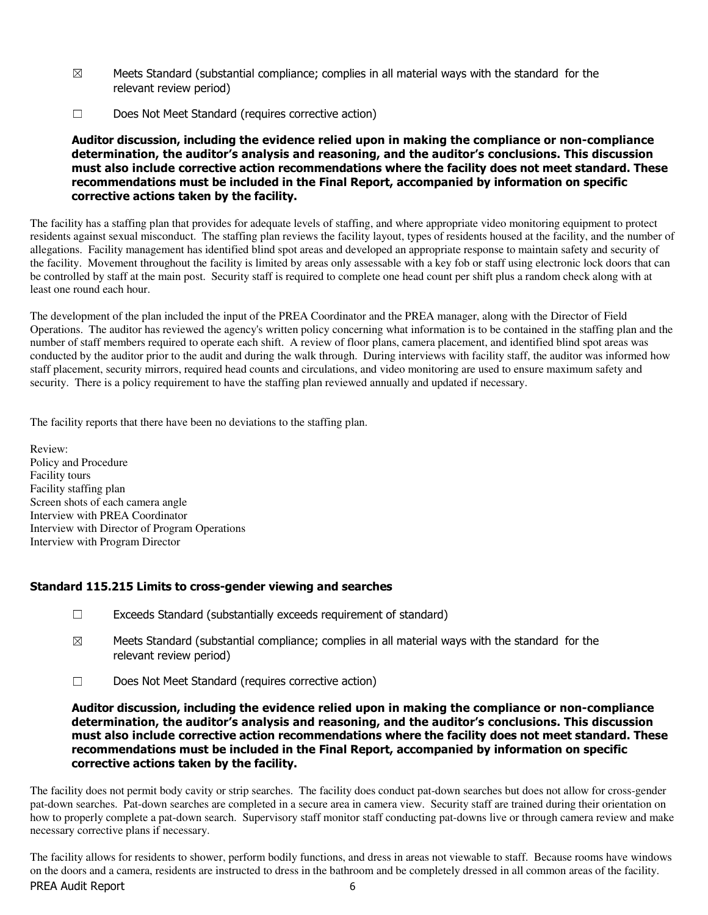- $\boxtimes$  Meets Standard (substantial compliance; complies in all material ways with the standard for the relevant review period)
- ☐ Does Not Meet Standard (requires corrective action)

Auditor discussion, including the evidence relied upon in making the compliance or non-compliance determination, the auditor's analysis and reasoning, and the auditor's conclusions. This discussion must also include corrective action recommendations where the facility does not meet standard. These recommendations must be included in the Final Report, accompanied by information on specific corrective actions taken by the facility.

The facility has a staffing plan that provides for adequate levels of staffing, and where appropriate video monitoring equipment to protect residents against sexual misconduct. The staffing plan reviews the facility layout, types of residents housed at the facility, and the number of allegations. Facility management has identified blind spot areas and developed an appropriate response to maintain safety and security of the facility. Movement throughout the facility is limited by areas only assessable with a key fob or staff using electronic lock doors that can be controlled by staff at the main post. Security staff is required to complete one head count per shift plus a random check along with at least one round each hour.

The development of the plan included the input of the PREA Coordinator and the PREA manager, along with the Director of Field Operations. The auditor has reviewed the agency's written policy concerning what information is to be contained in the staffing plan and the number of staff members required to operate each shift. A review of floor plans, camera placement, and identified blind spot areas was conducted by the auditor prior to the audit and during the walk through. During interviews with facility staff, the auditor was informed how staff placement, security mirrors, required head counts and circulations, and video monitoring are used to ensure maximum safety and security. There is a policy requirement to have the staffing plan reviewed annually and updated if necessary.

The facility reports that there have been no deviations to the staffing plan.

Review: Policy and Procedure Facility tours Facility staffing plan Screen shots of each camera angle Interview with PREA Coordinator Interview with Director of Program Operations Interview with Program Director

## Standard 115.215 Limits to cross-gender viewing and searches

- $\Box$  Exceeds Standard (substantially exceeds requirement of standard)
- $\boxtimes$  Meets Standard (substantial compliance; complies in all material ways with the standard for the relevant review period)
- ☐ Does Not Meet Standard (requires corrective action)

#### Auditor discussion, including the evidence relied upon in making the compliance or non-compliance determination, the auditor's analysis and reasoning, and the auditor's conclusions. This discussion must also include corrective action recommendations where the facility does not meet standard. These recommendations must be included in the Final Report, accompanied by information on specific corrective actions taken by the facility.

The facility does not permit body cavity or strip searches. The facility does conduct pat-down searches but does not allow for cross-gender pat-down searches. Pat-down searches are completed in a secure area in camera view. Security staff are trained during their orientation on how to properly complete a pat-down search. Supervisory staff monitor staff conducting pat-downs live or through camera review and make necessary corrective plans if necessary.

PREA Audit Report 6 The facility allows for residents to shower, perform bodily functions, and dress in areas not viewable to staff. Because rooms have windows on the doors and a camera, residents are instructed to dress in the bathroom and be completely dressed in all common areas of the facility.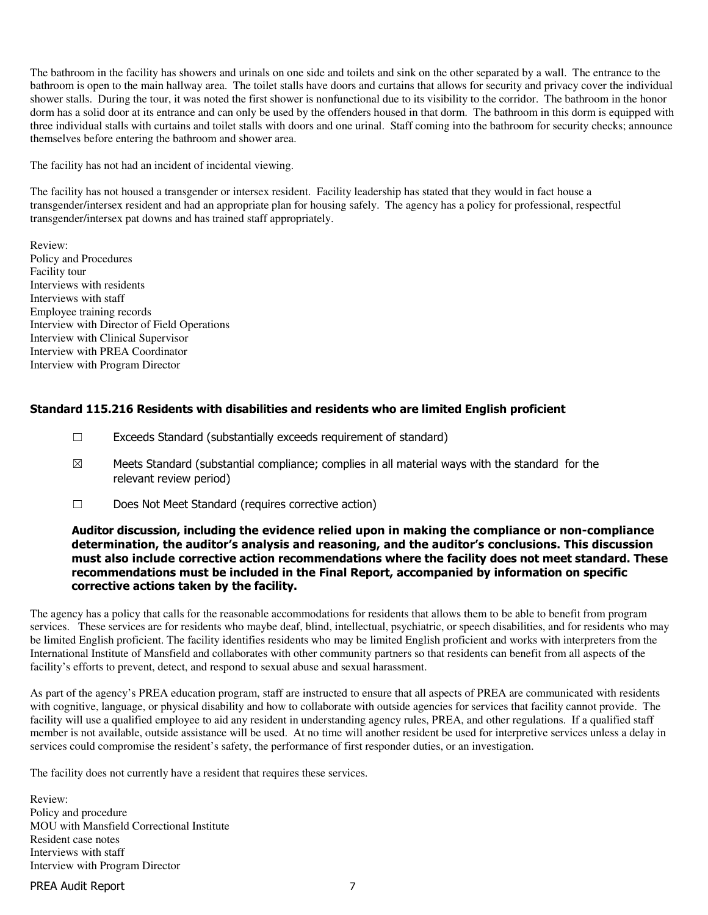The bathroom in the facility has showers and urinals on one side and toilets and sink on the other separated by a wall. The entrance to the bathroom is open to the main hallway area. The toilet stalls have doors and curtains that allows for security and privacy cover the individual shower stalls. During the tour, it was noted the first shower is nonfunctional due to its visibility to the corridor. The bathroom in the honor dorm has a solid door at its entrance and can only be used by the offenders housed in that dorm. The bathroom in this dorm is equipped with three individual stalls with curtains and toilet stalls with doors and one urinal. Staff coming into the bathroom for security checks; announce themselves before entering the bathroom and shower area.

The facility has not had an incident of incidental viewing.

The facility has not housed a transgender or intersex resident. Facility leadership has stated that they would in fact house a transgender/intersex resident and had an appropriate plan for housing safely. The agency has a policy for professional, respectful transgender/intersex pat downs and has trained staff appropriately.

Review: Policy and Procedures Facility tour Interviews with residents Interviews with staff Employee training records Interview with Director of Field Operations Interview with Clinical Supervisor Interview with PREA Coordinator Interview with Program Director

## Standard 115.216 Residents with disabilities and residents who are limited English proficient

- ☐ Exceeds Standard (substantially exceeds requirement of standard)
- $\boxtimes$  Meets Standard (substantial compliance; complies in all material ways with the standard for the relevant review period)
- ☐ Does Not Meet Standard (requires corrective action)

#### Auditor discussion, including the evidence relied upon in making the compliance or non-compliance determination, the auditor's analysis and reasoning, and the auditor's conclusions. This discussion must also include corrective action recommendations where the facility does not meet standard. These recommendations must be included in the Final Report, accompanied by information on specific corrective actions taken by the facility.

The agency has a policy that calls for the reasonable accommodations for residents that allows them to be able to benefit from program services. These services are for residents who maybe deaf, blind, intellectual, psychiatric, or speech disabilities, and for residents who may be limited English proficient. The facility identifies residents who may be limited English proficient and works with interpreters from the International Institute of Mansfield and collaborates with other community partners so that residents can benefit from all aspects of the facility's efforts to prevent, detect, and respond to sexual abuse and sexual harassment.

As part of the agency's PREA education program, staff are instructed to ensure that all aspects of PREA are communicated with residents with cognitive, language, or physical disability and how to collaborate with outside agencies for services that facility cannot provide. The facility will use a qualified employee to aid any resident in understanding agency rules, PREA, and other regulations. If a qualified staff member is not available, outside assistance will be used. At no time will another resident be used for interpretive services unless a delay in services could compromise the resident's safety, the performance of first responder duties, or an investigation.

The facility does not currently have a resident that requires these services.

Review: Policy and procedure MOU with Mansfield Correctional Institute Resident case notes Interviews with staff Interview with Program Director

PREA Audit Report 7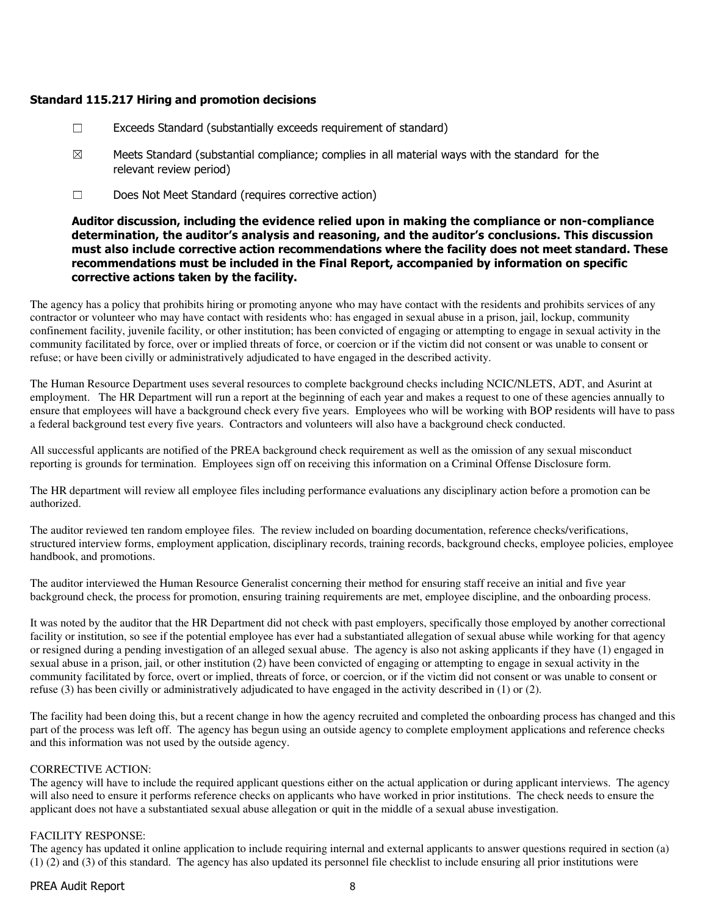## Standard 115.217 Hiring and promotion decisions

- ☐ Exceeds Standard (substantially exceeds requirement of standard)
- $\boxtimes$  Meets Standard (substantial compliance; complies in all material ways with the standard for the relevant review period)
- ☐ Does Not Meet Standard (requires corrective action)

## Auditor discussion, including the evidence relied upon in making the compliance or non-compliance determination, the auditor's analysis and reasoning, and the auditor's conclusions. This discussion must also include corrective action recommendations where the facility does not meet standard. These recommendations must be included in the Final Report, accompanied by information on specific corrective actions taken by the facility.

The agency has a policy that prohibits hiring or promoting anyone who may have contact with the residents and prohibits services of any contractor or volunteer who may have contact with residents who: has engaged in sexual abuse in a prison, jail, lockup, community confinement facility, juvenile facility, or other institution; has been convicted of engaging or attempting to engage in sexual activity in the community facilitated by force, over or implied threats of force, or coercion or if the victim did not consent or was unable to consent or refuse; or have been civilly or administratively adjudicated to have engaged in the described activity.

The Human Resource Department uses several resources to complete background checks including NCIC/NLETS, ADT, and Asurint at employment. The HR Department will run a report at the beginning of each year and makes a request to one of these agencies annually to ensure that employees will have a background check every five years. Employees who will be working with BOP residents will have to pass a federal background test every five years. Contractors and volunteers will also have a background check conducted.

All successful applicants are notified of the PREA background check requirement as well as the omission of any sexual misconduct reporting is grounds for termination. Employees sign off on receiving this information on a Criminal Offense Disclosure form.

The HR department will review all employee files including performance evaluations any disciplinary action before a promotion can be authorized.

The auditor reviewed ten random employee files. The review included on boarding documentation, reference checks/verifications, structured interview forms, employment application, disciplinary records, training records, background checks, employee policies, employee handbook, and promotions.

The auditor interviewed the Human Resource Generalist concerning their method for ensuring staff receive an initial and five year background check, the process for promotion, ensuring training requirements are met, employee discipline, and the onboarding process.

It was noted by the auditor that the HR Department did not check with past employers, specifically those employed by another correctional facility or institution, so see if the potential employee has ever had a substantiated allegation of sexual abuse while working for that agency or resigned during a pending investigation of an alleged sexual abuse. The agency is also not asking applicants if they have (1) engaged in sexual abuse in a prison, jail, or other institution (2) have been convicted of engaging or attempting to engage in sexual activity in the community facilitated by force, overt or implied, threats of force, or coercion, or if the victim did not consent or was unable to consent or refuse (3) has been civilly or administratively adjudicated to have engaged in the activity described in (1) or (2).

The facility had been doing this, but a recent change in how the agency recruited and completed the onboarding process has changed and this part of the process was left off. The agency has begun using an outside agency to complete employment applications and reference checks and this information was not used by the outside agency.

#### CORRECTIVE ACTION:

The agency will have to include the required applicant questions either on the actual application or during applicant interviews. The agency will also need to ensure it performs reference checks on applicants who have worked in prior institutions. The check needs to ensure the applicant does not have a substantiated sexual abuse allegation or quit in the middle of a sexual abuse investigation.

#### FACILITY RESPONSE:

The agency has updated it online application to include requiring internal and external applicants to answer questions required in section (a) (1) (2) and (3) of this standard. The agency has also updated its personnel file checklist to include ensuring all prior institutions were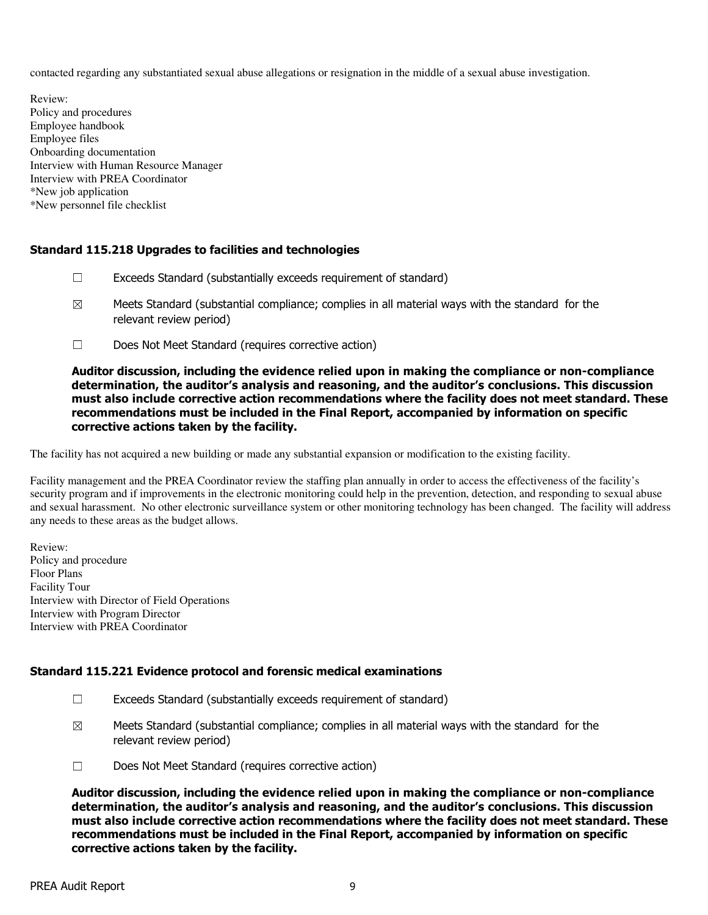contacted regarding any substantiated sexual abuse allegations or resignation in the middle of a sexual abuse investigation.

Review: Policy and procedures Employee handbook Employee files Onboarding documentation Interview with Human Resource Manager Interview with PREA Coordinator \*New job application \*New personnel file checklist

## Standard 115.218 Upgrades to facilities and technologies

- ☐ Exceeds Standard (substantially exceeds requirement of standard)
- $\boxtimes$  Meets Standard (substantial compliance; complies in all material ways with the standard for the relevant review period)
- ☐ Does Not Meet Standard (requires corrective action)

Auditor discussion, including the evidence relied upon in making the compliance or non-compliance determination, the auditor's analysis and reasoning, and the auditor's conclusions. This discussion must also include corrective action recommendations where the facility does not meet standard. These recommendations must be included in the Final Report, accompanied by information on specific corrective actions taken by the facility.

The facility has not acquired a new building or made any substantial expansion or modification to the existing facility.

Facility management and the PREA Coordinator review the staffing plan annually in order to access the effectiveness of the facility's security program and if improvements in the electronic monitoring could help in the prevention, detection, and responding to sexual abuse and sexual harassment. No other electronic surveillance system or other monitoring technology has been changed. The facility will address any needs to these areas as the budget allows.

Review: Policy and procedure Floor Plans Facility Tour Interview with Director of Field Operations Interview with Program Director Interview with PREA Coordinator

#### Standard 115.221 Evidence protocol and forensic medical examinations

- ☐ Exceeds Standard (substantially exceeds requirement of standard)
- $\boxtimes$  Meets Standard (substantial compliance; complies in all material ways with the standard for the relevant review period)
- ☐ Does Not Meet Standard (requires corrective action)

Auditor discussion, including the evidence relied upon in making the compliance or non-compliance determination, the auditor's analysis and reasoning, and the auditor's conclusions. This discussion must also include corrective action recommendations where the facility does not meet standard. These recommendations must be included in the Final Report, accompanied by information on specific corrective actions taken by the facility.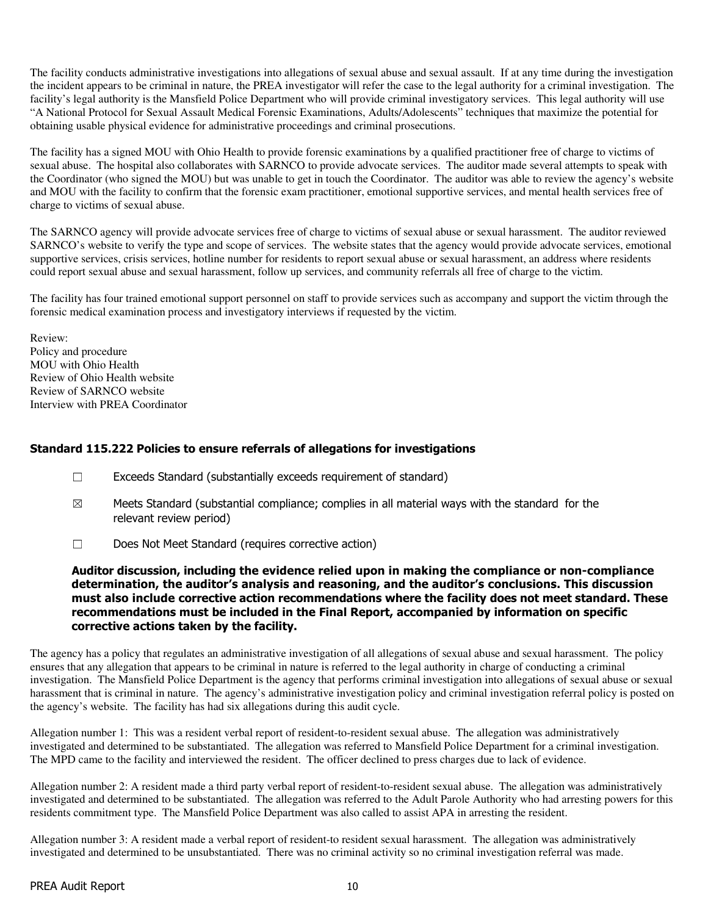The facility conducts administrative investigations into allegations of sexual abuse and sexual assault. If at any time during the investigation the incident appears to be criminal in nature, the PREA investigator will refer the case to the legal authority for a criminal investigation. The facility's legal authority is the Mansfield Police Department who will provide criminal investigatory services. This legal authority will use "A National Protocol for Sexual Assault Medical Forensic Examinations, Adults/Adolescents" techniques that maximize the potential for obtaining usable physical evidence for administrative proceedings and criminal prosecutions.

The facility has a signed MOU with Ohio Health to provide forensic examinations by a qualified practitioner free of charge to victims of sexual abuse. The hospital also collaborates with SARNCO to provide advocate services. The auditor made several attempts to speak with the Coordinator (who signed the MOU) but was unable to get in touch the Coordinator. The auditor was able to review the agency's website and MOU with the facility to confirm that the forensic exam practitioner, emotional supportive services, and mental health services free of charge to victims of sexual abuse.

The SARNCO agency will provide advocate services free of charge to victims of sexual abuse or sexual harassment. The auditor reviewed SARNCO's website to verify the type and scope of services. The website states that the agency would provide advocate services, emotional supportive services, crisis services, hotline number for residents to report sexual abuse or sexual harassment, an address where residents could report sexual abuse and sexual harassment, follow up services, and community referrals all free of charge to the victim.

The facility has four trained emotional support personnel on staff to provide services such as accompany and support the victim through the forensic medical examination process and investigatory interviews if requested by the victim.

Review: Policy and procedure MOU with Ohio Health Review of Ohio Health website Review of SARNCO website Interview with PREA Coordinator

### Standard 115.222 Policies to ensure referrals of allegations for investigations

- ☐ Exceeds Standard (substantially exceeds requirement of standard)
- $\boxtimes$  Meets Standard (substantial compliance; complies in all material ways with the standard for the relevant review period)
- ☐ Does Not Meet Standard (requires corrective action)

## Auditor discussion, including the evidence relied upon in making the compliance or non-compliance determination, the auditor's analysis and reasoning, and the auditor's conclusions. This discussion must also include corrective action recommendations where the facility does not meet standard. These recommendations must be included in the Final Report, accompanied by information on specific corrective actions taken by the facility.

The agency has a policy that regulates an administrative investigation of all allegations of sexual abuse and sexual harassment. The policy ensures that any allegation that appears to be criminal in nature is referred to the legal authority in charge of conducting a criminal investigation. The Mansfield Police Department is the agency that performs criminal investigation into allegations of sexual abuse or sexual harassment that is criminal in nature. The agency's administrative investigation policy and criminal investigation referral policy is posted on the agency's website. The facility has had six allegations during this audit cycle.

Allegation number 1: This was a resident verbal report of resident-to-resident sexual abuse. The allegation was administratively investigated and determined to be substantiated. The allegation was referred to Mansfield Police Department for a criminal investigation. The MPD came to the facility and interviewed the resident. The officer declined to press charges due to lack of evidence.

Allegation number 2: A resident made a third party verbal report of resident-to-resident sexual abuse. The allegation was administratively investigated and determined to be substantiated. The allegation was referred to the Adult Parole Authority who had arresting powers for this residents commitment type. The Mansfield Police Department was also called to assist APA in arresting the resident.

Allegation number 3: A resident made a verbal report of resident-to resident sexual harassment. The allegation was administratively investigated and determined to be unsubstantiated. There was no criminal activity so no criminal investigation referral was made.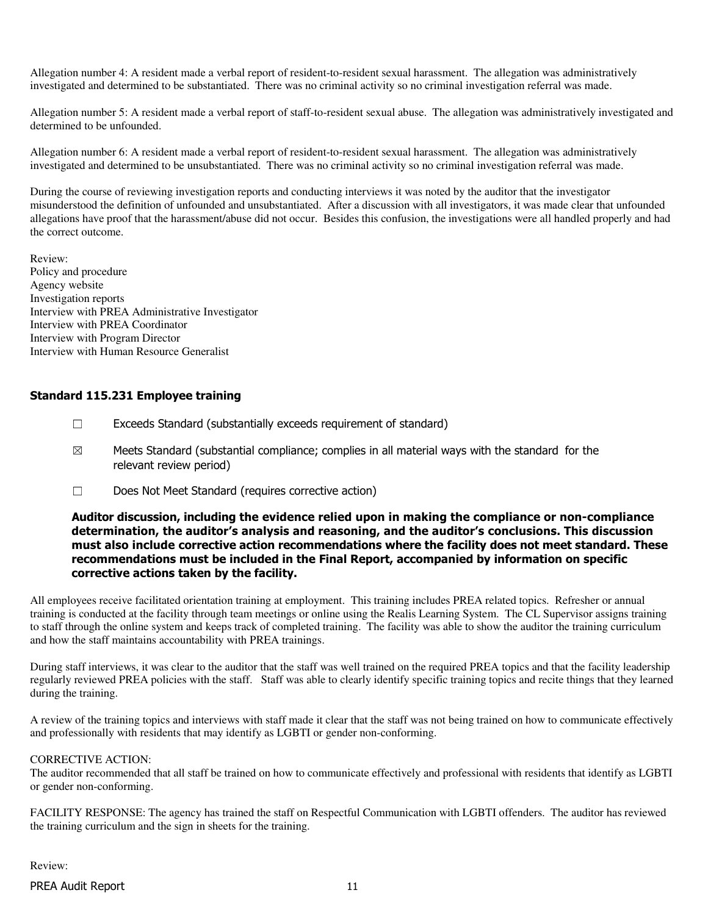Allegation number 4: A resident made a verbal report of resident-to-resident sexual harassment. The allegation was administratively investigated and determined to be substantiated. There was no criminal activity so no criminal investigation referral was made.

Allegation number 5: A resident made a verbal report of staff-to-resident sexual abuse. The allegation was administratively investigated and determined to be unfounded.

Allegation number 6: A resident made a verbal report of resident-to-resident sexual harassment. The allegation was administratively investigated and determined to be unsubstantiated. There was no criminal activity so no criminal investigation referral was made.

During the course of reviewing investigation reports and conducting interviews it was noted by the auditor that the investigator misunderstood the definition of unfounded and unsubstantiated. After a discussion with all investigators, it was made clear that unfounded allegations have proof that the harassment/abuse did not occur. Besides this confusion, the investigations were all handled properly and had the correct outcome.

Review: Policy and procedure Agency website Investigation reports Interview with PREA Administrative Investigator Interview with PREA Coordinator Interview with Program Director Interview with Human Resource Generalist

### Standard 115.231 Employee training

- $\Box$  Exceeds Standard (substantially exceeds requirement of standard)
- $\boxtimes$  Meets Standard (substantial compliance; complies in all material ways with the standard for the relevant review period)
- ☐ Does Not Meet Standard (requires corrective action)

#### Auditor discussion, including the evidence relied upon in making the compliance or non-compliance determination, the auditor's analysis and reasoning, and the auditor's conclusions. This discussion must also include corrective action recommendations where the facility does not meet standard. These recommendations must be included in the Final Report, accompanied by information on specific corrective actions taken by the facility.

All employees receive facilitated orientation training at employment. This training includes PREA related topics. Refresher or annual training is conducted at the facility through team meetings or online using the Realis Learning System. The CL Supervisor assigns training to staff through the online system and keeps track of completed training. The facility was able to show the auditor the training curriculum and how the staff maintains accountability with PREA trainings.

During staff interviews, it was clear to the auditor that the staff was well trained on the required PREA topics and that the facility leadership regularly reviewed PREA policies with the staff. Staff was able to clearly identify specific training topics and recite things that they learned during the training.

A review of the training topics and interviews with staff made it clear that the staff was not being trained on how to communicate effectively and professionally with residents that may identify as LGBTI or gender non-conforming.

#### CORRECTIVE ACTION:

The auditor recommended that all staff be trained on how to communicate effectively and professional with residents that identify as LGBTI or gender non-conforming.

FACILITY RESPONSE: The agency has trained the staff on Respectful Communication with LGBTI offenders. The auditor has reviewed the training curriculum and the sign in sheets for the training.

Review:

PREA Audit Report 11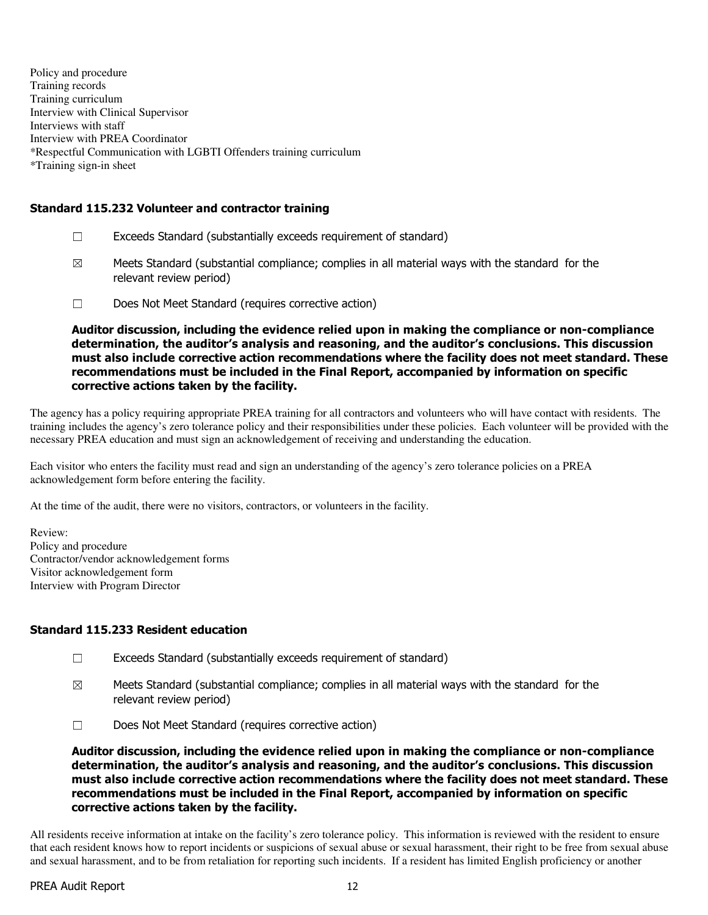Policy and procedure Training records Training curriculum Interview with Clinical Supervisor Interviews with staff Interview with PREA Coordinator \*Respectful Communication with LGBTI Offenders training curriculum \*Training sign-in sheet

## Standard 115.232 Volunteer and contractor training

- $\Box$  Exceeds Standard (substantially exceeds requirement of standard)
- $\boxtimes$  Meets Standard (substantial compliance; complies in all material ways with the standard for the relevant review period)
- ☐ Does Not Meet Standard (requires corrective action)

Auditor discussion, including the evidence relied upon in making the compliance or non-compliance determination, the auditor's analysis and reasoning, and the auditor's conclusions. This discussion must also include corrective action recommendations where the facility does not meet standard. These recommendations must be included in the Final Report, accompanied by information on specific corrective actions taken by the facility.

The agency has a policy requiring appropriate PREA training for all contractors and volunteers who will have contact with residents. The training includes the agency's zero tolerance policy and their responsibilities under these policies. Each volunteer will be provided with the necessary PREA education and must sign an acknowledgement of receiving and understanding the education.

Each visitor who enters the facility must read and sign an understanding of the agency's zero tolerance policies on a PREA acknowledgement form before entering the facility.

At the time of the audit, there were no visitors, contractors, or volunteers in the facility.

Review: Policy and procedure Contractor/vendor acknowledgement forms Visitor acknowledgement form Interview with Program Director

## Standard 115.233 Resident education

- ☐ Exceeds Standard (substantially exceeds requirement of standard)
- $\boxtimes$  Meets Standard (substantial compliance; complies in all material ways with the standard for the relevant review period)
- ☐ Does Not Meet Standard (requires corrective action)

Auditor discussion, including the evidence relied upon in making the compliance or non-compliance determination, the auditor's analysis and reasoning, and the auditor's conclusions. This discussion must also include corrective action recommendations where the facility does not meet standard. These recommendations must be included in the Final Report, accompanied by information on specific corrective actions taken by the facility.

All residents receive information at intake on the facility's zero tolerance policy. This information is reviewed with the resident to ensure that each resident knows how to report incidents or suspicions of sexual abuse or sexual harassment, their right to be free from sexual abuse and sexual harassment, and to be from retaliation for reporting such incidents. If a resident has limited English proficiency or another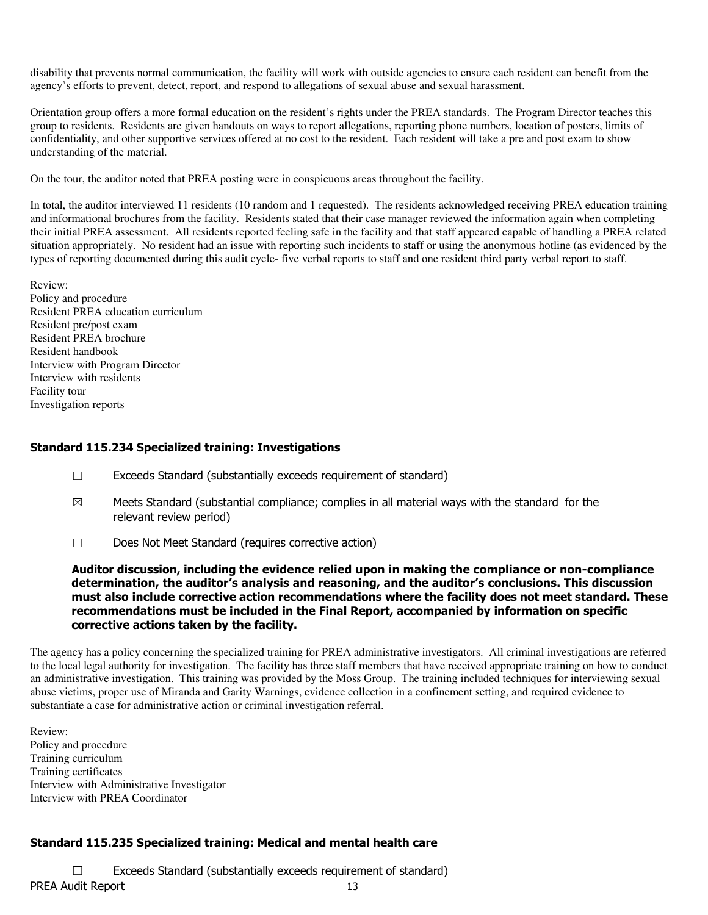disability that prevents normal communication, the facility will work with outside agencies to ensure each resident can benefit from the agency's efforts to prevent, detect, report, and respond to allegations of sexual abuse and sexual harassment.

Orientation group offers a more formal education on the resident's rights under the PREA standards. The Program Director teaches this group to residents. Residents are given handouts on ways to report allegations, reporting phone numbers, location of posters, limits of confidentiality, and other supportive services offered at no cost to the resident. Each resident will take a pre and post exam to show understanding of the material.

On the tour, the auditor noted that PREA posting were in conspicuous areas throughout the facility.

In total, the auditor interviewed 11 residents (10 random and 1 requested). The residents acknowledged receiving PREA education training and informational brochures from the facility. Residents stated that their case manager reviewed the information again when completing their initial PREA assessment. All residents reported feeling safe in the facility and that staff appeared capable of handling a PREA related situation appropriately. No resident had an issue with reporting such incidents to staff or using the anonymous hotline (as evidenced by the types of reporting documented during this audit cycle- five verbal reports to staff and one resident third party verbal report to staff.

Review:

Policy and procedure Resident PREA education curriculum Resident pre/post exam Resident PREA brochure Resident handbook Interview with Program Director Interview with residents Facility tour Investigation reports

### Standard 115.234 Specialized training: Investigations

- ☐ Exceeds Standard (substantially exceeds requirement of standard)
- $\boxtimes$  Meets Standard (substantial compliance; complies in all material ways with the standard for the relevant review period)
- ☐ Does Not Meet Standard (requires corrective action)

Auditor discussion, including the evidence relied upon in making the compliance or non-compliance determination, the auditor's analysis and reasoning, and the auditor's conclusions. This discussion must also include corrective action recommendations where the facility does not meet standard. These recommendations must be included in the Final Report, accompanied by information on specific corrective actions taken by the facility.

The agency has a policy concerning the specialized training for PREA administrative investigators. All criminal investigations are referred to the local legal authority for investigation. The facility has three staff members that have received appropriate training on how to conduct an administrative investigation. This training was provided by the Moss Group. The training included techniques for interviewing sexual abuse victims, proper use of Miranda and Garity Warnings, evidence collection in a confinement setting, and required evidence to substantiate a case for administrative action or criminal investigation referral.

Review: Policy and procedure Training curriculum Training certificates Interview with Administrative Investigator Interview with PREA Coordinator

## Standard 115.235 Specialized training: Medical and mental health care

PREA Audit Report 13 ☐ Exceeds Standard (substantially exceeds requirement of standard)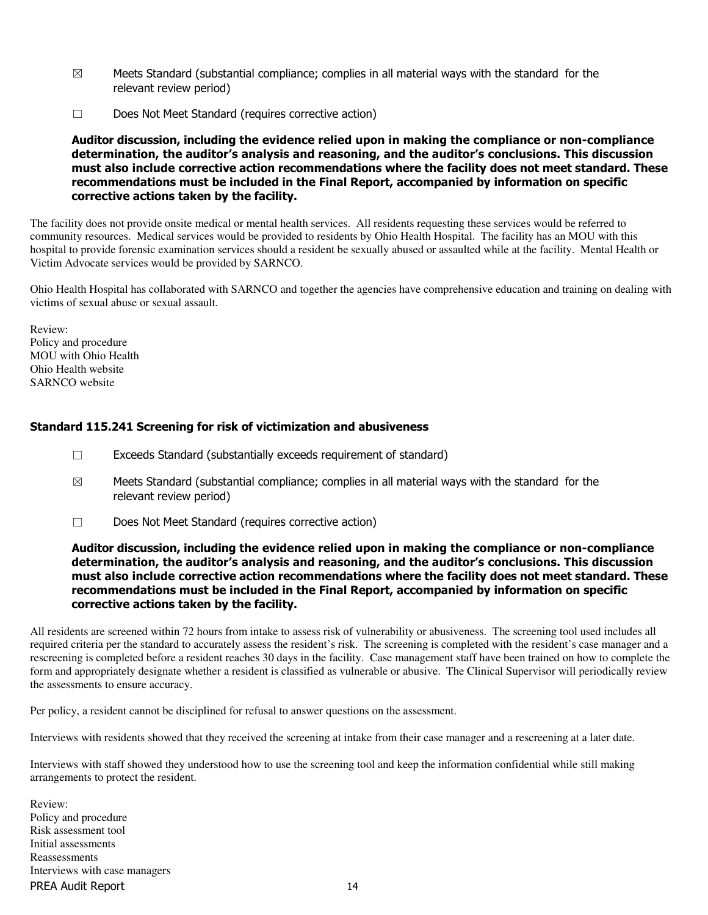- $\boxtimes$  Meets Standard (substantial compliance; complies in all material ways with the standard for the relevant review period)
- ☐ Does Not Meet Standard (requires corrective action)

Auditor discussion, including the evidence relied upon in making the compliance or non-compliance determination, the auditor's analysis and reasoning, and the auditor's conclusions. This discussion must also include corrective action recommendations where the facility does not meet standard. These recommendations must be included in the Final Report, accompanied by information on specific corrective actions taken by the facility.

The facility does not provide onsite medical or mental health services. All residents requesting these services would be referred to community resources. Medical services would be provided to residents by Ohio Health Hospital. The facility has an MOU with this hospital to provide forensic examination services should a resident be sexually abused or assaulted while at the facility. Mental Health or Victim Advocate services would be provided by SARNCO.

Ohio Health Hospital has collaborated with SARNCO and together the agencies have comprehensive education and training on dealing with victims of sexual abuse or sexual assault.

Review: Policy and procedure MOU with Ohio Health Ohio Health website SARNCO website

### Standard 115.241 Screening for risk of victimization and abusiveness

- $\Box$  Exceeds Standard (substantially exceeds requirement of standard)
- $\boxtimes$  Meets Standard (substantial compliance; complies in all material ways with the standard for the relevant review period)
- ☐ Does Not Meet Standard (requires corrective action)

#### Auditor discussion, including the evidence relied upon in making the compliance or non-compliance determination, the auditor's analysis and reasoning, and the auditor's conclusions. This discussion must also include corrective action recommendations where the facility does not meet standard. These recommendations must be included in the Final Report, accompanied by information on specific corrective actions taken by the facility.

All residents are screened within 72 hours from intake to assess risk of vulnerability or abusiveness. The screening tool used includes all required criteria per the standard to accurately assess the resident's risk. The screening is completed with the resident's case manager and a rescreening is completed before a resident reaches 30 days in the facility. Case management staff have been trained on how to complete the form and appropriately designate whether a resident is classified as vulnerable or abusive. The Clinical Supervisor will periodically review the assessments to ensure accuracy.

Per policy, a resident cannot be disciplined for refusal to answer questions on the assessment.

Interviews with residents showed that they received the screening at intake from their case manager and a rescreening at a later date.

Interviews with staff showed they understood how to use the screening tool and keep the information confidential while still making arrangements to protect the resident.

PREA Audit Report 14 Review: Policy and procedure Risk assessment tool Initial assessments Reassessments Interviews with case managers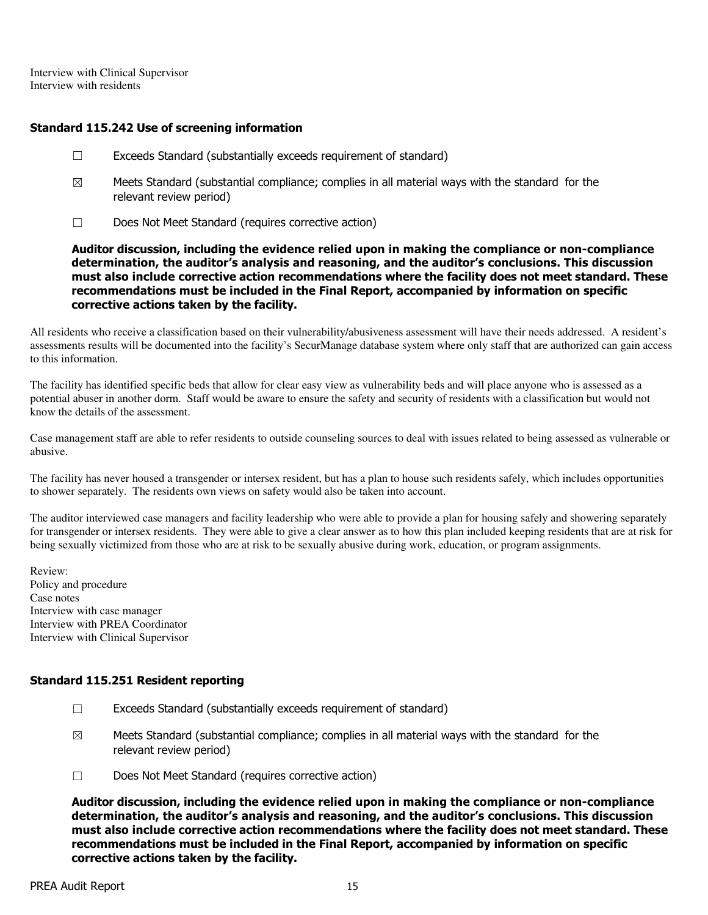Interview with Clinical Supervisor Interview with residents

## Standard 115.242 Use of screening information

- ☐ Exceeds Standard (substantially exceeds requirement of standard)
- $\boxtimes$  Meets Standard (substantial compliance; complies in all material ways with the standard for the relevant review period)
- ☐ Does Not Meet Standard (requires corrective action)

Auditor discussion, including the evidence relied upon in making the compliance or non-compliance determination, the auditor's analysis and reasoning, and the auditor's conclusions. This discussion must also include corrective action recommendations where the facility does not meet standard. These recommendations must be included in the Final Report, accompanied by information on specific corrective actions taken by the facility.

All residents who receive a classification based on their vulnerability/abusiveness assessment will have their needs addressed. A resident's assessments results will be documented into the facility's SecurManage database system where only staff that are authorized can gain access to this information.

The facility has identified specific beds that allow for clear easy view as vulnerability beds and will place anyone who is assessed as a potential abuser in another dorm. Staff would be aware to ensure the safety and security of residents with a classification but would not know the details of the assessment.

Case management staff are able to refer residents to outside counseling sources to deal with issues related to being assessed as vulnerable or abusive.

The facility has never housed a transgender or intersex resident, but has a plan to house such residents safely, which includes opportunities to shower separately. The residents own views on safety would also be taken into account.

The auditor interviewed case managers and facility leadership who were able to provide a plan for housing safely and showering separately for transgender or intersex residents. They were able to give a clear answer as to how this plan included keeping residents that are at risk for being sexually victimized from those who are at risk to be sexually abusive during work, education, or program assignments.

Review: Policy and procedure Case notes Interview with case manager Interview with PREA Coordinator Interview with Clinical Supervisor

## Standard 115.251 Resident reporting

- $\Box$  Exceeds Standard (substantially exceeds requirement of standard)
- $\boxtimes$  Meets Standard (substantial compliance; complies in all material ways with the standard for the relevant review period)
- ☐ Does Not Meet Standard (requires corrective action)

Auditor discussion, including the evidence relied upon in making the compliance or non-compliance determination, the auditor's analysis and reasoning, and the auditor's conclusions. This discussion must also include corrective action recommendations where the facility does not meet standard. These recommendations must be included in the Final Report, accompanied by information on specific corrective actions taken by the facility.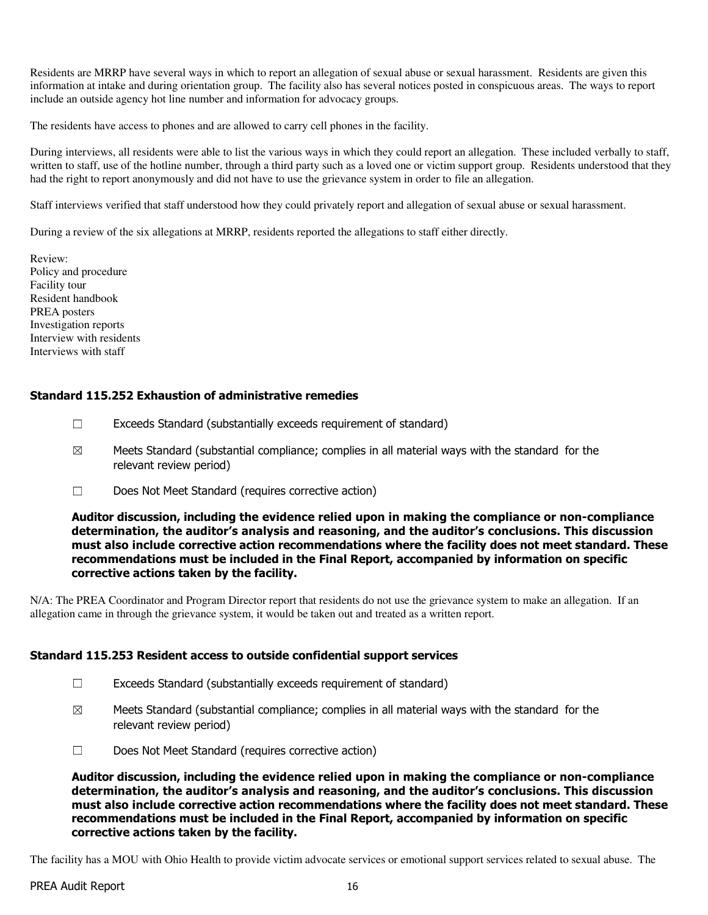Residents are MRRP have several ways in which to report an allegation of sexual abuse or sexual harassment. Residents are given this information at intake and during orientation group. The facility also has several notices posted in conspicuous areas. The ways to report include an outside agency hot line number and information for advocacy groups.

The residents have access to phones and are allowed to carry cell phones in the facility.

During interviews, all residents were able to list the various ways in which they could report an allegation. These included verbally to staff, written to staff, use of the hotline number, through a third party such as a loved one or victim support group. Residents understood that they had the right to report anonymously and did not have to use the grievance system in order to file an allegation.

Staff interviews verified that staff understood how they could privately report and allegation of sexual abuse or sexual harassment.

During a review of the six allegations at MRRP, residents reported the allegations to staff either directly.

Review: Policy and procedure Facility tour Resident handbook PREA posters Investigation reports Interview with residents Interviews with staff

### Standard 115.252 Exhaustion of administrative remedies

- $\Box$  Exceeds Standard (substantially exceeds requirement of standard)
- $\boxtimes$  Meets Standard (substantial compliance; complies in all material ways with the standard for the relevant review period)
- ☐ Does Not Meet Standard (requires corrective action)

Auditor discussion, including the evidence relied upon in making the compliance or non-compliance determination, the auditor's analysis and reasoning, and the auditor's conclusions. This discussion must also include corrective action recommendations where the facility does not meet standard. These recommendations must be included in the Final Report, accompanied by information on specific corrective actions taken by the facility.

N/A: The PREA Coordinator and Program Director report that residents do not use the grievance system to make an allegation. If an allegation came in through the grievance system, it would be taken out and treated as a written report.

#### Standard 115.253 Resident access to outside confidential support services

- $\Box$  Exceeds Standard (substantially exceeds requirement of standard)
- $\boxtimes$  Meets Standard (substantial compliance; complies in all material ways with the standard for the relevant review period)
- ☐ Does Not Meet Standard (requires corrective action)

Auditor discussion, including the evidence relied upon in making the compliance or non-compliance determination, the auditor's analysis and reasoning, and the auditor's conclusions. This discussion must also include corrective action recommendations where the facility does not meet standard. These recommendations must be included in the Final Report, accompanied by information on specific corrective actions taken by the facility.

The facility has a MOU with Ohio Health to provide victim advocate services or emotional support services related to sexual abuse. The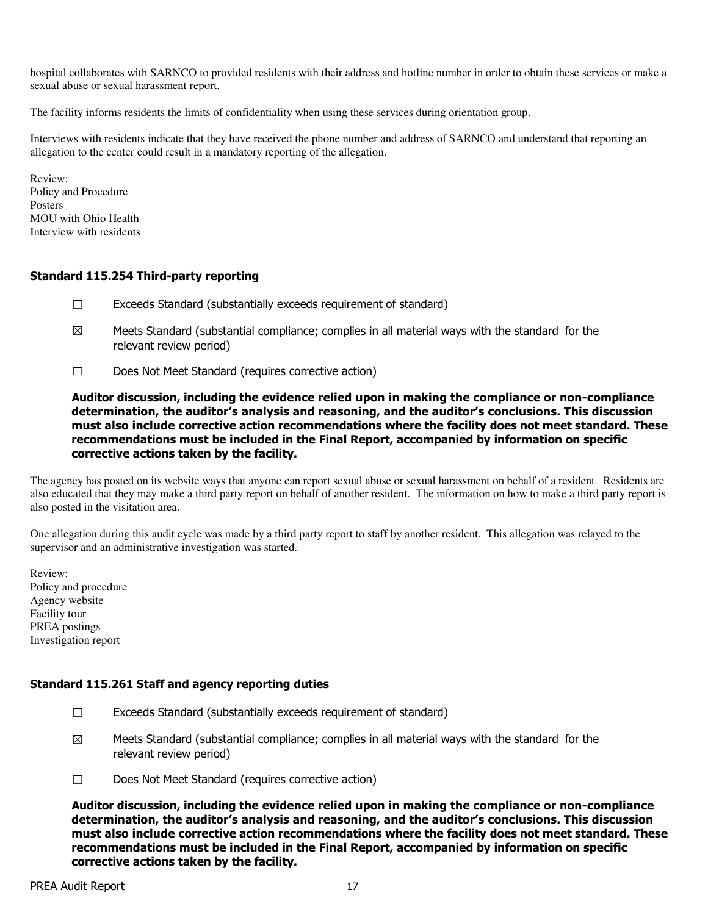hospital collaborates with SARNCO to provided residents with their address and hotline number in order to obtain these services or make a sexual abuse or sexual harassment report.

The facility informs residents the limits of confidentiality when using these services during orientation group.

Interviews with residents indicate that they have received the phone number and address of SARNCO and understand that reporting an allegation to the center could result in a mandatory reporting of the allegation.

Review: Policy and Procedure **Posters** MOU with Ohio Health Interview with residents

## Standard 115.254 Third-party reporting

- $\Box$  Exceeds Standard (substantially exceeds requirement of standard)
- $\boxtimes$  Meets Standard (substantial compliance; complies in all material ways with the standard for the relevant review period)
- ☐ Does Not Meet Standard (requires corrective action)

Auditor discussion, including the evidence relied upon in making the compliance or non-compliance determination, the auditor's analysis and reasoning, and the auditor's conclusions. This discussion must also include corrective action recommendations where the facility does not meet standard. These recommendations must be included in the Final Report, accompanied by information on specific corrective actions taken by the facility.

The agency has posted on its website ways that anyone can report sexual abuse or sexual harassment on behalf of a resident. Residents are also educated that they may make a third party report on behalf of another resident. The information on how to make a third party report is also posted in the visitation area.

One allegation during this audit cycle was made by a third party report to staff by another resident. This allegation was relayed to the supervisor and an administrative investigation was started.

Review: Policy and procedure Agency website Facility tour PREA postings Investigation report

## Standard 115.261 Staff and agency reporting duties

- $\Box$  Exceeds Standard (substantially exceeds requirement of standard)
- $\boxtimes$  Meets Standard (substantial compliance; complies in all material ways with the standard for the relevant review period)
- ☐ Does Not Meet Standard (requires corrective action)

Auditor discussion, including the evidence relied upon in making the compliance or non-compliance determination, the auditor's analysis and reasoning, and the auditor's conclusions. This discussion must also include corrective action recommendations where the facility does not meet standard. These recommendations must be included in the Final Report, accompanied by information on specific corrective actions taken by the facility.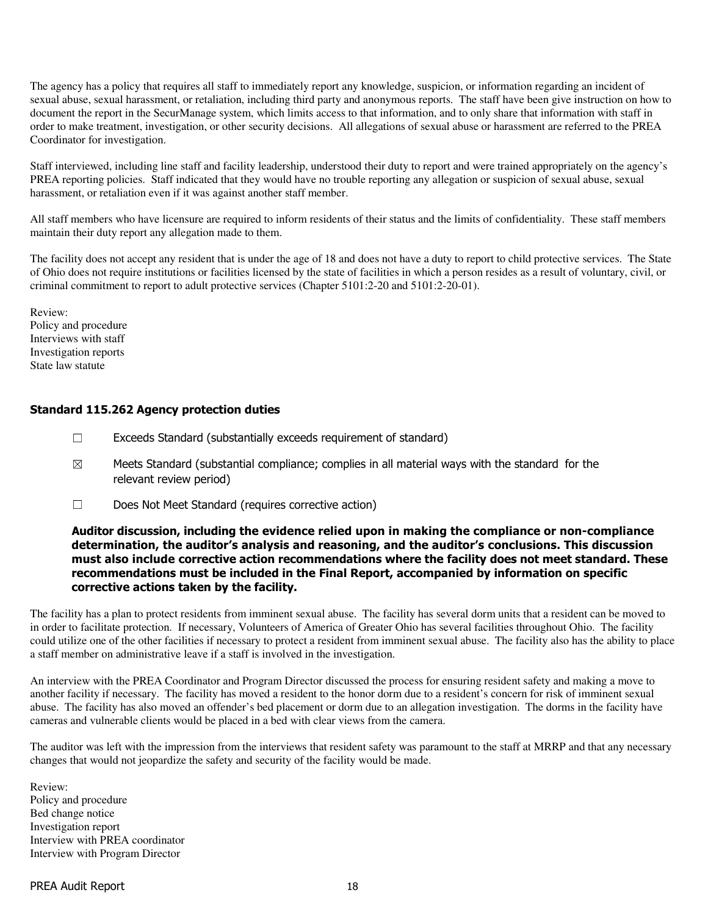The agency has a policy that requires all staff to immediately report any knowledge, suspicion, or information regarding an incident of sexual abuse, sexual harassment, or retaliation, including third party and anonymous reports. The staff have been give instruction on how to document the report in the SecurManage system, which limits access to that information, and to only share that information with staff in order to make treatment, investigation, or other security decisions. All allegations of sexual abuse or harassment are referred to the PREA Coordinator for investigation.

Staff interviewed, including line staff and facility leadership, understood their duty to report and were trained appropriately on the agency's PREA reporting policies. Staff indicated that they would have no trouble reporting any allegation or suspicion of sexual abuse, sexual harassment, or retaliation even if it was against another staff member.

All staff members who have licensure are required to inform residents of their status and the limits of confidentiality. These staff members maintain their duty report any allegation made to them.

The facility does not accept any resident that is under the age of 18 and does not have a duty to report to child protective services. The State of Ohio does not require institutions or facilities licensed by the state of facilities in which a person resides as a result of voluntary, civil, or criminal commitment to report to adult protective services (Chapter 5101:2-20 and 5101:2-20-01).

Review: Policy and procedure Interviews with staff Investigation reports State law statute

### Standard 115.262 Agency protection duties

- ☐ Exceeds Standard (substantially exceeds requirement of standard)
- $\boxtimes$  Meets Standard (substantial compliance; complies in all material ways with the standard for the relevant review period)
- ☐ Does Not Meet Standard (requires corrective action)

#### Auditor discussion, including the evidence relied upon in making the compliance or non-compliance determination, the auditor's analysis and reasoning, and the auditor's conclusions. This discussion must also include corrective action recommendations where the facility does not meet standard. These recommendations must be included in the Final Report, accompanied by information on specific corrective actions taken by the facility.

The facility has a plan to protect residents from imminent sexual abuse. The facility has several dorm units that a resident can be moved to in order to facilitate protection. If necessary, Volunteers of America of Greater Ohio has several facilities throughout Ohio. The facility could utilize one of the other facilities if necessary to protect a resident from imminent sexual abuse. The facility also has the ability to place a staff member on administrative leave if a staff is involved in the investigation.

An interview with the PREA Coordinator and Program Director discussed the process for ensuring resident safety and making a move to another facility if necessary. The facility has moved a resident to the honor dorm due to a resident's concern for risk of imminent sexual abuse. The facility has also moved an offender's bed placement or dorm due to an allegation investigation. The dorms in the facility have cameras and vulnerable clients would be placed in a bed with clear views from the camera.

The auditor was left with the impression from the interviews that resident safety was paramount to the staff at MRRP and that any necessary changes that would not jeopardize the safety and security of the facility would be made.

Review: Policy and procedure Bed change notice Investigation report Interview with PREA coordinator Interview with Program Director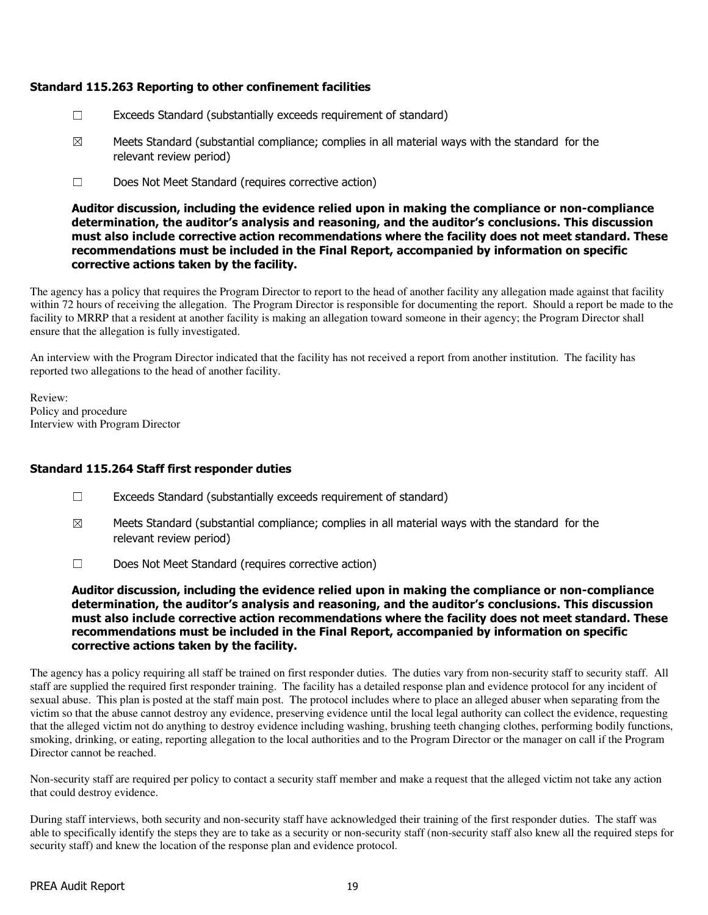## Standard 115.263 Reporting to other confinement facilities

- $\Box$  Exceeds Standard (substantially exceeds requirement of standard)
- $\boxtimes$  Meets Standard (substantial compliance; complies in all material ways with the standard for the relevant review period)
- ☐ Does Not Meet Standard (requires corrective action)

Auditor discussion, including the evidence relied upon in making the compliance or non-compliance determination, the auditor's analysis and reasoning, and the auditor's conclusions. This discussion must also include corrective action recommendations where the facility does not meet standard. These recommendations must be included in the Final Report, accompanied by information on specific corrective actions taken by the facility.

The agency has a policy that requires the Program Director to report to the head of another facility any allegation made against that facility within 72 hours of receiving the allegation. The Program Director is responsible for documenting the report. Should a report be made to the facility to MRRP that a resident at another facility is making an allegation toward someone in their agency; the Program Director shall ensure that the allegation is fully investigated.

An interview with the Program Director indicated that the facility has not received a report from another institution. The facility has reported two allegations to the head of another facility.

Review: Policy and procedure Interview with Program Director

## Standard 115.264 Staff first responder duties

- $\Box$  Exceeds Standard (substantially exceeds requirement of standard)
- $\boxtimes$  Meets Standard (substantial compliance; complies in all material ways with the standard for the relevant review period)
- ☐ Does Not Meet Standard (requires corrective action)

Auditor discussion, including the evidence relied upon in making the compliance or non-compliance determination, the auditor's analysis and reasoning, and the auditor's conclusions. This discussion must also include corrective action recommendations where the facility does not meet standard. These recommendations must be included in the Final Report, accompanied by information on specific corrective actions taken by the facility.

The agency has a policy requiring all staff be trained on first responder duties. The duties vary from non-security staff to security staff. All staff are supplied the required first responder training. The facility has a detailed response plan and evidence protocol for any incident of sexual abuse. This plan is posted at the staff main post. The protocol includes where to place an alleged abuser when separating from the victim so that the abuse cannot destroy any evidence, preserving evidence until the local legal authority can collect the evidence, requesting that the alleged victim not do anything to destroy evidence including washing, brushing teeth changing clothes, performing bodily functions, smoking, drinking, or eating, reporting allegation to the local authorities and to the Program Director or the manager on call if the Program Director cannot be reached.

Non-security staff are required per policy to contact a security staff member and make a request that the alleged victim not take any action that could destroy evidence.

During staff interviews, both security and non-security staff have acknowledged their training of the first responder duties. The staff was able to specifically identify the steps they are to take as a security or non-security staff (non-security staff also knew all the required steps for security staff) and knew the location of the response plan and evidence protocol.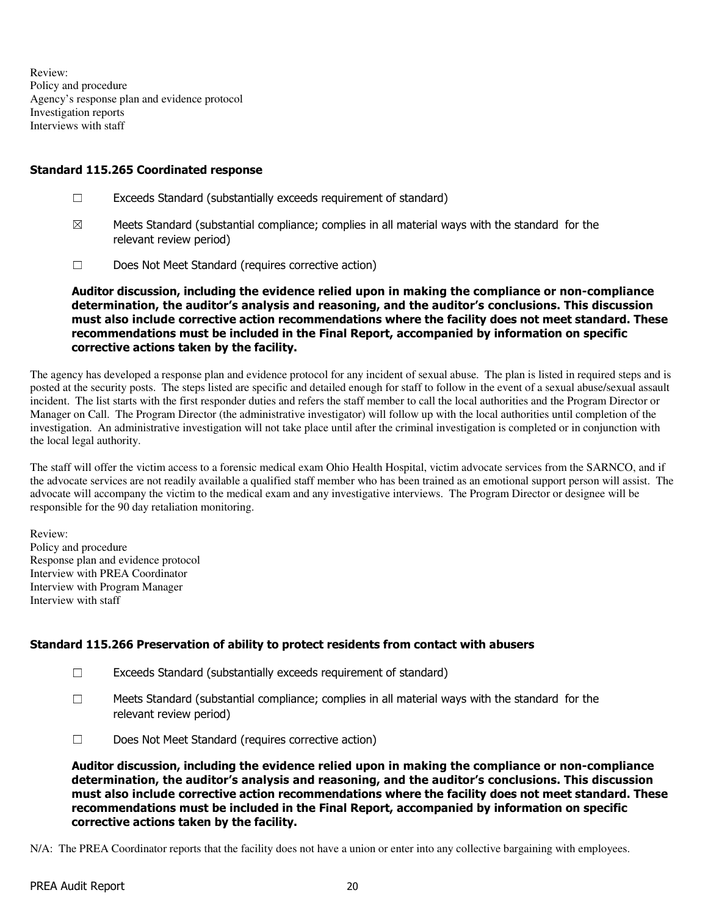Review: Policy and procedure Agency's response plan and evidence protocol Investigation reports Interviews with staff

## Standard 115.265 Coordinated response

- ☐ Exceeds Standard (substantially exceeds requirement of standard)
- $\boxtimes$  Meets Standard (substantial compliance; complies in all material ways with the standard for the relevant review period)
- ☐ Does Not Meet Standard (requires corrective action)

Auditor discussion, including the evidence relied upon in making the compliance or non-compliance determination, the auditor's analysis and reasoning, and the auditor's conclusions. This discussion must also include corrective action recommendations where the facility does not meet standard. These recommendations must be included in the Final Report, accompanied by information on specific corrective actions taken by the facility.

The agency has developed a response plan and evidence protocol for any incident of sexual abuse. The plan is listed in required steps and is posted at the security posts. The steps listed are specific and detailed enough for staff to follow in the event of a sexual abuse/sexual assault incident. The list starts with the first responder duties and refers the staff member to call the local authorities and the Program Director or Manager on Call. The Program Director (the administrative investigator) will follow up with the local authorities until completion of the investigation. An administrative investigation will not take place until after the criminal investigation is completed or in conjunction with the local legal authority.

The staff will offer the victim access to a forensic medical exam Ohio Health Hospital, victim advocate services from the SARNCO, and if the advocate services are not readily available a qualified staff member who has been trained as an emotional support person will assist. The advocate will accompany the victim to the medical exam and any investigative interviews. The Program Director or designee will be responsible for the 90 day retaliation monitoring.

Review: Policy and procedure Response plan and evidence protocol Interview with PREA Coordinator Interview with Program Manager Interview with staff

## Standard 115.266 Preservation of ability to protect residents from contact with abusers

- ☐ Exceeds Standard (substantially exceeds requirement of standard)
- ☐ Meets Standard (substantial compliance; complies in all material ways with the standard for the relevant review period)
- ☐ Does Not Meet Standard (requires corrective action)

Auditor discussion, including the evidence relied upon in making the compliance or non-compliance determination, the auditor's analysis and reasoning, and the auditor's conclusions. This discussion must also include corrective action recommendations where the facility does not meet standard. These recommendations must be included in the Final Report, accompanied by information on specific corrective actions taken by the facility.

N/A: The PREA Coordinator reports that the facility does not have a union or enter into any collective bargaining with employees.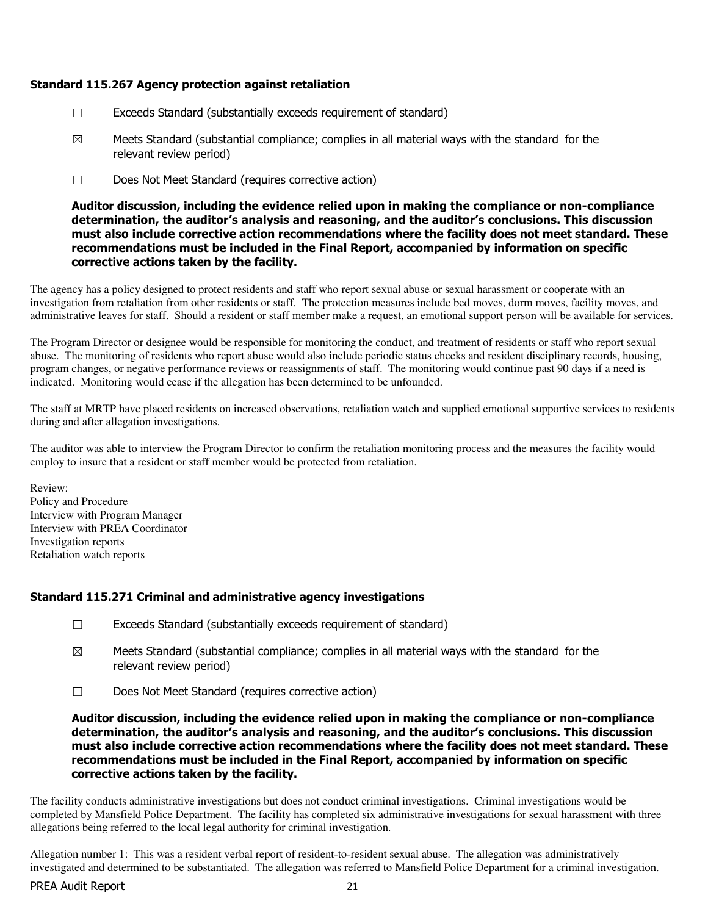## Standard 115.267 Agency protection against retaliation

- $\Box$  Exceeds Standard (substantially exceeds requirement of standard)
- $\boxtimes$  Meets Standard (substantial compliance; complies in all material ways with the standard for the relevant review period)
- ☐ Does Not Meet Standard (requires corrective action)

Auditor discussion, including the evidence relied upon in making the compliance or non-compliance determination, the auditor's analysis and reasoning, and the auditor's conclusions. This discussion must also include corrective action recommendations where the facility does not meet standard. These recommendations must be included in the Final Report, accompanied by information on specific corrective actions taken by the facility.

The agency has a policy designed to protect residents and staff who report sexual abuse or sexual harassment or cooperate with an investigation from retaliation from other residents or staff. The protection measures include bed moves, dorm moves, facility moves, and administrative leaves for staff. Should a resident or staff member make a request, an emotional support person will be available for services.

The Program Director or designee would be responsible for monitoring the conduct, and treatment of residents or staff who report sexual abuse. The monitoring of residents who report abuse would also include periodic status checks and resident disciplinary records, housing, program changes, or negative performance reviews or reassignments of staff. The monitoring would continue past 90 days if a need is indicated. Monitoring would cease if the allegation has been determined to be unfounded.

The staff at MRTP have placed residents on increased observations, retaliation watch and supplied emotional supportive services to residents during and after allegation investigations.

The auditor was able to interview the Program Director to confirm the retaliation monitoring process and the measures the facility would employ to insure that a resident or staff member would be protected from retaliation.

Review: Policy and Procedure Interview with Program Manager Interview with PREA Coordinator Investigation reports Retaliation watch reports

## Standard 115.271 Criminal and administrative agency investigations

- $\Box$  Exceeds Standard (substantially exceeds requirement of standard)
- $\boxtimes$  Meets Standard (substantial compliance; complies in all material ways with the standard for the relevant review period)
- ☐ Does Not Meet Standard (requires corrective action)

Auditor discussion, including the evidence relied upon in making the compliance or non-compliance determination, the auditor's analysis and reasoning, and the auditor's conclusions. This discussion must also include corrective action recommendations where the facility does not meet standard. These recommendations must be included in the Final Report, accompanied by information on specific corrective actions taken by the facility.

The facility conducts administrative investigations but does not conduct criminal investigations. Criminal investigations would be completed by Mansfield Police Department. The facility has completed six administrative investigations for sexual harassment with three allegations being referred to the local legal authority for criminal investigation.

Allegation number 1: This was a resident verbal report of resident-to-resident sexual abuse. The allegation was administratively investigated and determined to be substantiated. The allegation was referred to Mansfield Police Department for a criminal investigation.

#### PREA Audit Report 21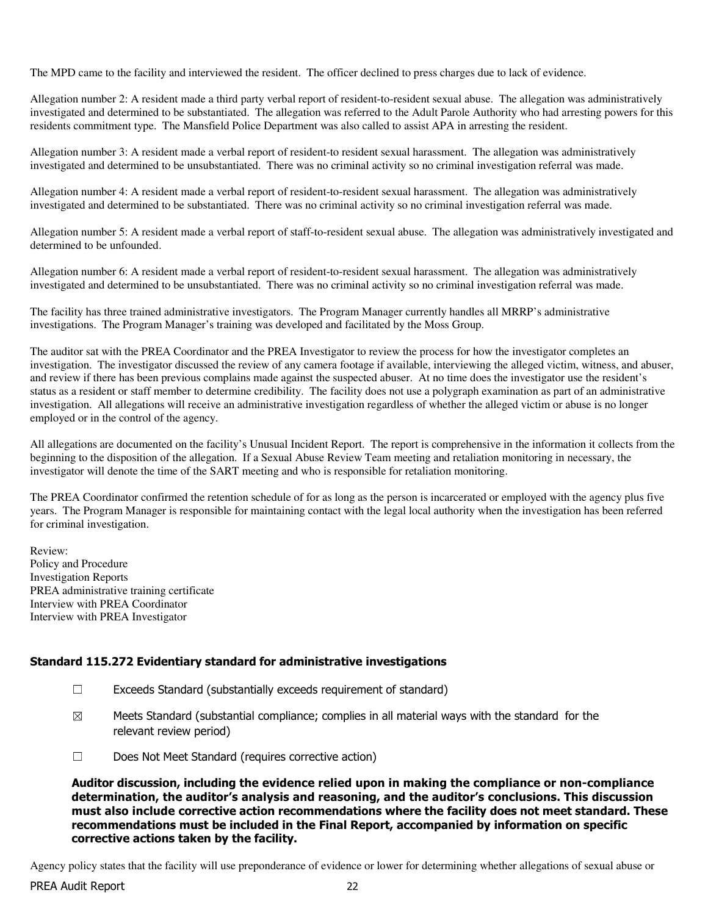The MPD came to the facility and interviewed the resident. The officer declined to press charges due to lack of evidence.

Allegation number 2: A resident made a third party verbal report of resident-to-resident sexual abuse. The allegation was administratively investigated and determined to be substantiated. The allegation was referred to the Adult Parole Authority who had arresting powers for this residents commitment type. The Mansfield Police Department was also called to assist APA in arresting the resident.

Allegation number 3: A resident made a verbal report of resident-to resident sexual harassment. The allegation was administratively investigated and determined to be unsubstantiated. There was no criminal activity so no criminal investigation referral was made.

Allegation number 4: A resident made a verbal report of resident-to-resident sexual harassment. The allegation was administratively investigated and determined to be substantiated. There was no criminal activity so no criminal investigation referral was made.

Allegation number 5: A resident made a verbal report of staff-to-resident sexual abuse. The allegation was administratively investigated and determined to be unfounded.

Allegation number 6: A resident made a verbal report of resident-to-resident sexual harassment. The allegation was administratively investigated and determined to be unsubstantiated. There was no criminal activity so no criminal investigation referral was made.

The facility has three trained administrative investigators. The Program Manager currently handles all MRRP's administrative investigations. The Program Manager's training was developed and facilitated by the Moss Group.

The auditor sat with the PREA Coordinator and the PREA Investigator to review the process for how the investigator completes an investigation. The investigator discussed the review of any camera footage if available, interviewing the alleged victim, witness, and abuser, and review if there has been previous complains made against the suspected abuser. At no time does the investigator use the resident's status as a resident or staff member to determine credibility. The facility does not use a polygraph examination as part of an administrative investigation. All allegations will receive an administrative investigation regardless of whether the alleged victim or abuse is no longer employed or in the control of the agency.

All allegations are documented on the facility's Unusual Incident Report. The report is comprehensive in the information it collects from the beginning to the disposition of the allegation. If a Sexual Abuse Review Team meeting and retaliation monitoring in necessary, the investigator will denote the time of the SART meeting and who is responsible for retaliation monitoring.

The PREA Coordinator confirmed the retention schedule of for as long as the person is incarcerated or employed with the agency plus five years. The Program Manager is responsible for maintaining contact with the legal local authority when the investigation has been referred for criminal investigation.

Review: Policy and Procedure Investigation Reports PREA administrative training certificate Interview with PREA Coordinator Interview with PREA Investigator

## Standard 115.272 Evidentiary standard for administrative investigations

- $\Box$  Exceeds Standard (substantially exceeds requirement of standard)
- $\boxtimes$  Meets Standard (substantial compliance; complies in all material ways with the standard for the relevant review period)
- ☐ Does Not Meet Standard (requires corrective action)

Auditor discussion, including the evidence relied upon in making the compliance or non-compliance determination, the auditor's analysis and reasoning, and the auditor's conclusions. This discussion must also include corrective action recommendations where the facility does not meet standard. These recommendations must be included in the Final Report, accompanied by information on specific corrective actions taken by the facility.

Agency policy states that the facility will use preponderance of evidence or lower for determining whether allegations of sexual abuse or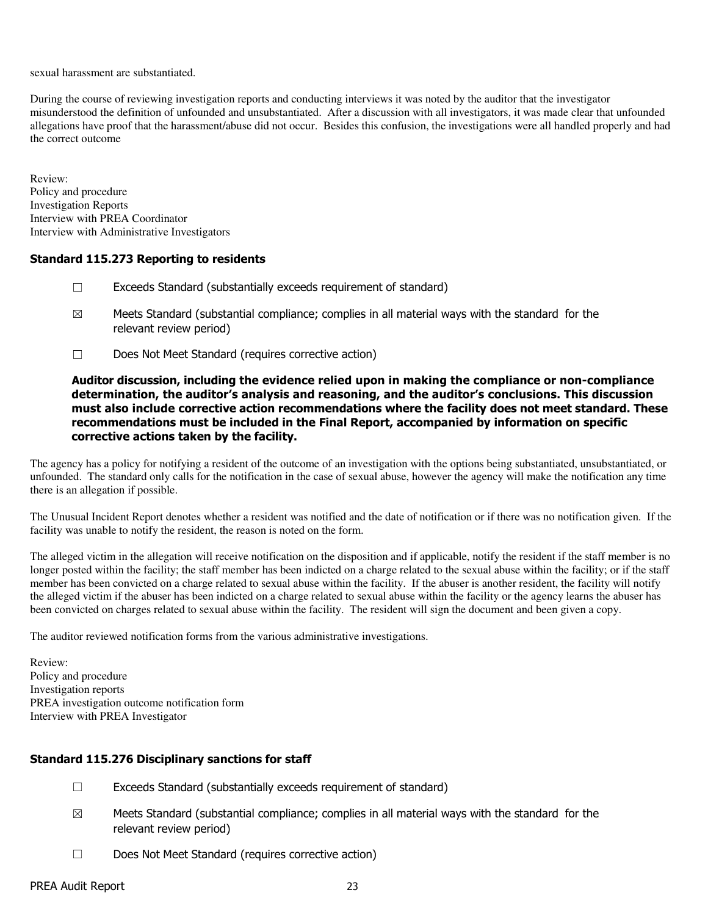sexual harassment are substantiated.

During the course of reviewing investigation reports and conducting interviews it was noted by the auditor that the investigator misunderstood the definition of unfounded and unsubstantiated. After a discussion with all investigators, it was made clear that unfounded allegations have proof that the harassment/abuse did not occur. Besides this confusion, the investigations were all handled properly and had the correct outcome

Review: Policy and procedure Investigation Reports Interview with PREA Coordinator Interview with Administrative Investigators

## Standard 115.273 Reporting to residents

- ☐ Exceeds Standard (substantially exceeds requirement of standard)
- $\boxtimes$  Meets Standard (substantial compliance; complies in all material ways with the standard for the relevant review period)
- ☐ Does Not Meet Standard (requires corrective action)

## Auditor discussion, including the evidence relied upon in making the compliance or non-compliance determination, the auditor's analysis and reasoning, and the auditor's conclusions. This discussion must also include corrective action recommendations where the facility does not meet standard. These recommendations must be included in the Final Report, accompanied by information on specific corrective actions taken by the facility.

The agency has a policy for notifying a resident of the outcome of an investigation with the options being substantiated, unsubstantiated, or unfounded. The standard only calls for the notification in the case of sexual abuse, however the agency will make the notification any time there is an allegation if possible.

The Unusual Incident Report denotes whether a resident was notified and the date of notification or if there was no notification given. If the facility was unable to notify the resident, the reason is noted on the form.

The alleged victim in the allegation will receive notification on the disposition and if applicable, notify the resident if the staff member is no longer posted within the facility; the staff member has been indicted on a charge related to the sexual abuse within the facility; or if the staff member has been convicted on a charge related to sexual abuse within the facility. If the abuser is another resident, the facility will notify the alleged victim if the abuser has been indicted on a charge related to sexual abuse within the facility or the agency learns the abuser has been convicted on charges related to sexual abuse within the facility. The resident will sign the document and been given a copy.

The auditor reviewed notification forms from the various administrative investigations.

Review: Policy and procedure Investigation reports PREA investigation outcome notification form Interview with PREA Investigator

## Standard 115.276 Disciplinary sanctions for staff

- ☐ Exceeds Standard (substantially exceeds requirement of standard)
- $\boxtimes$  Meets Standard (substantial compliance; complies in all material ways with the standard for the relevant review period)
- ☐ Does Not Meet Standard (requires corrective action)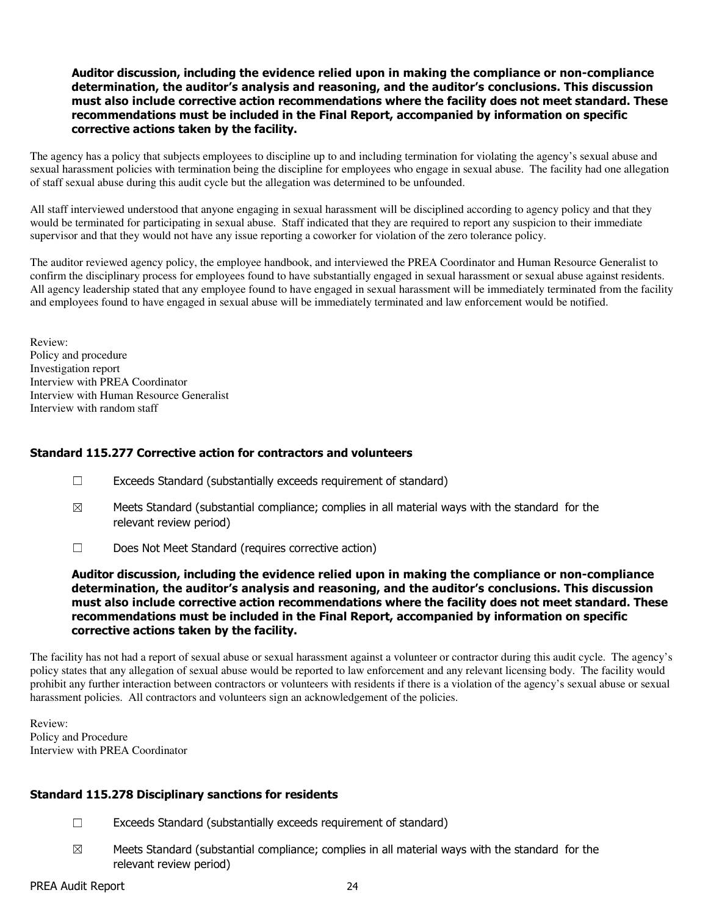### Auditor discussion, including the evidence relied upon in making the compliance or non-compliance determination, the auditor's analysis and reasoning, and the auditor's conclusions. This discussion must also include corrective action recommendations where the facility does not meet standard. These recommendations must be included in the Final Report, accompanied by information on specific corrective actions taken by the facility.

The agency has a policy that subjects employees to discipline up to and including termination for violating the agency's sexual abuse and sexual harassment policies with termination being the discipline for employees who engage in sexual abuse. The facility had one allegation of staff sexual abuse during this audit cycle but the allegation was determined to be unfounded.

All staff interviewed understood that anyone engaging in sexual harassment will be disciplined according to agency policy and that they would be terminated for participating in sexual abuse. Staff indicated that they are required to report any suspicion to their immediate supervisor and that they would not have any issue reporting a coworker for violation of the zero tolerance policy.

The auditor reviewed agency policy, the employee handbook, and interviewed the PREA Coordinator and Human Resource Generalist to confirm the disciplinary process for employees found to have substantially engaged in sexual harassment or sexual abuse against residents. All agency leadership stated that any employee found to have engaged in sexual harassment will be immediately terminated from the facility and employees found to have engaged in sexual abuse will be immediately terminated and law enforcement would be notified.

Review: Policy and procedure Investigation report Interview with PREA Coordinator Interview with Human Resource Generalist Interview with random staff

## Standard 115.277 Corrective action for contractors and volunteers

- $\Box$  Exceeds Standard (substantially exceeds requirement of standard)
- $\boxtimes$  Meets Standard (substantial compliance; complies in all material ways with the standard for the relevant review period)
- ☐ Does Not Meet Standard (requires corrective action)

Auditor discussion, including the evidence relied upon in making the compliance or non-compliance determination, the auditor's analysis and reasoning, and the auditor's conclusions. This discussion must also include corrective action recommendations where the facility does not meet standard. These recommendations must be included in the Final Report, accompanied by information on specific corrective actions taken by the facility.

The facility has not had a report of sexual abuse or sexual harassment against a volunteer or contractor during this audit cycle. The agency's policy states that any allegation of sexual abuse would be reported to law enforcement and any relevant licensing body. The facility would prohibit any further interaction between contractors or volunteers with residents if there is a violation of the agency's sexual abuse or sexual harassment policies. All contractors and volunteers sign an acknowledgement of the policies.

Review: Policy and Procedure Interview with PREA Coordinator

## Standard 115.278 Disciplinary sanctions for residents

- ☐ Exceeds Standard (substantially exceeds requirement of standard)
- $\boxtimes$  Meets Standard (substantial compliance; complies in all material ways with the standard for the relevant review period)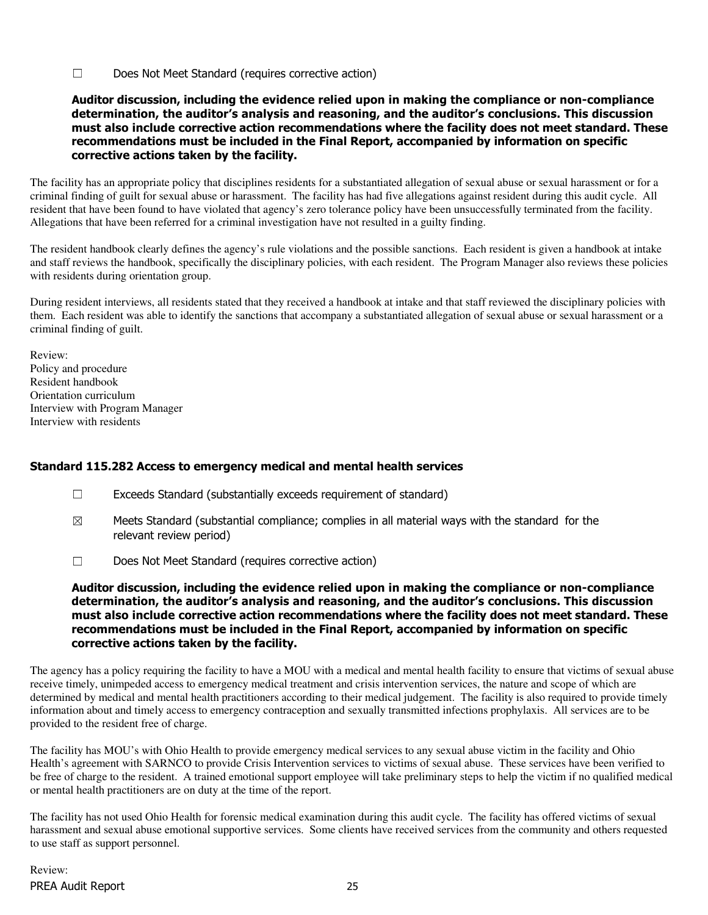☐ Does Not Meet Standard (requires corrective action)

## Auditor discussion, including the evidence relied upon in making the compliance or non-compliance determination, the auditor's analysis and reasoning, and the auditor's conclusions. This discussion must also include corrective action recommendations where the facility does not meet standard. These recommendations must be included in the Final Report, accompanied by information on specific corrective actions taken by the facility.

The facility has an appropriate policy that disciplines residents for a substantiated allegation of sexual abuse or sexual harassment or for a criminal finding of guilt for sexual abuse or harassment. The facility has had five allegations against resident during this audit cycle. All resident that have been found to have violated that agency's zero tolerance policy have been unsuccessfully terminated from the facility. Allegations that have been referred for a criminal investigation have not resulted in a guilty finding.

The resident handbook clearly defines the agency's rule violations and the possible sanctions. Each resident is given a handbook at intake and staff reviews the handbook, specifically the disciplinary policies, with each resident. The Program Manager also reviews these policies with residents during orientation group.

During resident interviews, all residents stated that they received a handbook at intake and that staff reviewed the disciplinary policies with them. Each resident was able to identify the sanctions that accompany a substantiated allegation of sexual abuse or sexual harassment or a criminal finding of guilt.

Review: Policy and procedure Resident handbook Orientation curriculum Interview with Program Manager Interview with residents

## Standard 115.282 Access to emergency medical and mental health services

- $\Box$  Exceeds Standard (substantially exceeds requirement of standard)
- $\boxtimes$  Meets Standard (substantial compliance; complies in all material ways with the standard for the relevant review period)
- ☐ Does Not Meet Standard (requires corrective action)

Auditor discussion, including the evidence relied upon in making the compliance or non-compliance determination, the auditor's analysis and reasoning, and the auditor's conclusions. This discussion must also include corrective action recommendations where the facility does not meet standard. These recommendations must be included in the Final Report, accompanied by information on specific corrective actions taken by the facility.

The agency has a policy requiring the facility to have a MOU with a medical and mental health facility to ensure that victims of sexual abuse receive timely, unimpeded access to emergency medical treatment and crisis intervention services, the nature and scope of which are determined by medical and mental health practitioners according to their medical judgement. The facility is also required to provide timely information about and timely access to emergency contraception and sexually transmitted infections prophylaxis. All services are to be provided to the resident free of charge.

The facility has MOU's with Ohio Health to provide emergency medical services to any sexual abuse victim in the facility and Ohio Health's agreement with SARNCO to provide Crisis Intervention services to victims of sexual abuse. These services have been verified to be free of charge to the resident. A trained emotional support employee will take preliminary steps to help the victim if no qualified medical or mental health practitioners are on duty at the time of the report.

The facility has not used Ohio Health for forensic medical examination during this audit cycle. The facility has offered victims of sexual harassment and sexual abuse emotional supportive services. Some clients have received services from the community and others requested to use staff as support personnel.

PREA Audit Report 25 Review: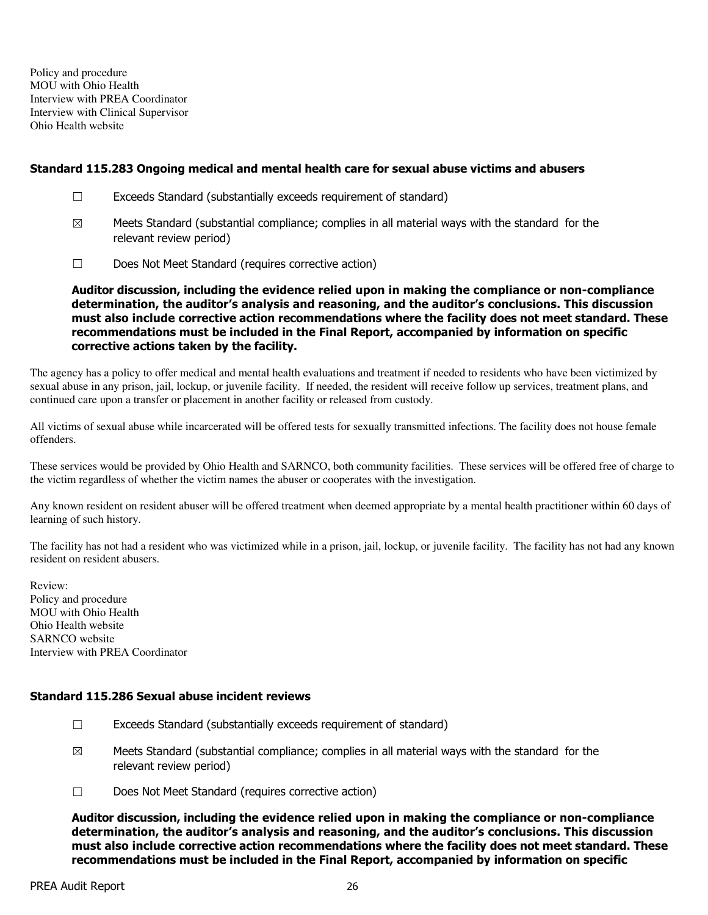Policy and procedure MOU with Ohio Health Interview with PREA Coordinator Interview with Clinical Supervisor Ohio Health website

## Standard 115.283 Ongoing medical and mental health care for sexual abuse victims and abusers

- ☐ Exceeds Standard (substantially exceeds requirement of standard)
- $\boxtimes$  Meets Standard (substantial compliance; complies in all material ways with the standard for the relevant review period)
- ☐ Does Not Meet Standard (requires corrective action)

Auditor discussion, including the evidence relied upon in making the compliance or non-compliance determination, the auditor's analysis and reasoning, and the auditor's conclusions. This discussion must also include corrective action recommendations where the facility does not meet standard. These recommendations must be included in the Final Report, accompanied by information on specific corrective actions taken by the facility.

The agency has a policy to offer medical and mental health evaluations and treatment if needed to residents who have been victimized by sexual abuse in any prison, jail, lockup, or juvenile facility. If needed, the resident will receive follow up services, treatment plans, and continued care upon a transfer or placement in another facility or released from custody.

All victims of sexual abuse while incarcerated will be offered tests for sexually transmitted infections. The facility does not house female offenders.

These services would be provided by Ohio Health and SARNCO, both community facilities. These services will be offered free of charge to the victim regardless of whether the victim names the abuser or cooperates with the investigation.

Any known resident on resident abuser will be offered treatment when deemed appropriate by a mental health practitioner within 60 days of learning of such history.

The facility has not had a resident who was victimized while in a prison, jail, lockup, or juvenile facility. The facility has not had any known resident on resident abusers.

Review: Policy and procedure MOU with Ohio Health Ohio Health website SARNCO website Interview with PREA Coordinator

## Standard 115.286 Sexual abuse incident reviews

- ☐ Exceeds Standard (substantially exceeds requirement of standard)
- $\boxtimes$  Meets Standard (substantial compliance; complies in all material ways with the standard for the relevant review period)
- ☐ Does Not Meet Standard (requires corrective action)

Auditor discussion, including the evidence relied upon in making the compliance or non-compliance determination, the auditor's analysis and reasoning, and the auditor's conclusions. This discussion must also include corrective action recommendations where the facility does not meet standard. These recommendations must be included in the Final Report, accompanied by information on specific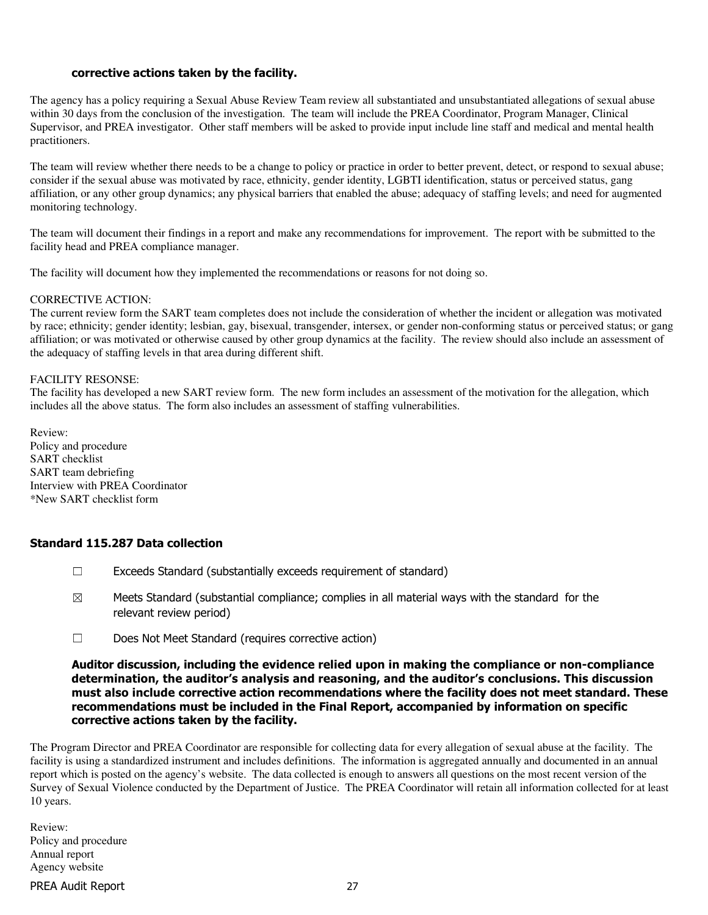## corrective actions taken by the facility.

The agency has a policy requiring a Sexual Abuse Review Team review all substantiated and unsubstantiated allegations of sexual abuse within 30 days from the conclusion of the investigation. The team will include the PREA Coordinator, Program Manager, Clinical Supervisor, and PREA investigator. Other staff members will be asked to provide input include line staff and medical and mental health practitioners.

The team will review whether there needs to be a change to policy or practice in order to better prevent, detect, or respond to sexual abuse; consider if the sexual abuse was motivated by race, ethnicity, gender identity, LGBTI identification, status or perceived status, gang affiliation, or any other group dynamics; any physical barriers that enabled the abuse; adequacy of staffing levels; and need for augmented monitoring technology.

The team will document their findings in a report and make any recommendations for improvement. The report with be submitted to the facility head and PREA compliance manager.

The facility will document how they implemented the recommendations or reasons for not doing so.

#### CORRECTIVE ACTION:

The current review form the SART team completes does not include the consideration of whether the incident or allegation was motivated by race; ethnicity; gender identity; lesbian, gay, bisexual, transgender, intersex, or gender non-conforming status or perceived status; or gang affiliation; or was motivated or otherwise caused by other group dynamics at the facility. The review should also include an assessment of the adequacy of staffing levels in that area during different shift.

#### FACILITY RESONSE:

The facility has developed a new SART review form. The new form includes an assessment of the motivation for the allegation, which includes all the above status. The form also includes an assessment of staffing vulnerabilities.

Review: Policy and procedure SART checklist SART team debriefing Interview with PREA Coordinator \*New SART checklist form

## Standard 115.287 Data collection

- ☐ Exceeds Standard (substantially exceeds requirement of standard)
- $\boxtimes$  Meets Standard (substantial compliance; complies in all material ways with the standard for the relevant review period)
- ☐ Does Not Meet Standard (requires corrective action)

#### Auditor discussion, including the evidence relied upon in making the compliance or non-compliance determination, the auditor's analysis and reasoning, and the auditor's conclusions. This discussion must also include corrective action recommendations where the facility does not meet standard. These recommendations must be included in the Final Report, accompanied by information on specific corrective actions taken by the facility.

The Program Director and PREA Coordinator are responsible for collecting data for every allegation of sexual abuse at the facility. The facility is using a standardized instrument and includes definitions. The information is aggregated annually and documented in an annual report which is posted on the agency's website. The data collected is enough to answers all questions on the most recent version of the Survey of Sexual Violence conducted by the Department of Justice. The PREA Coordinator will retain all information collected for at least 10 years.

Review: Policy and procedure Annual report Agency website

PREA Audit Report 27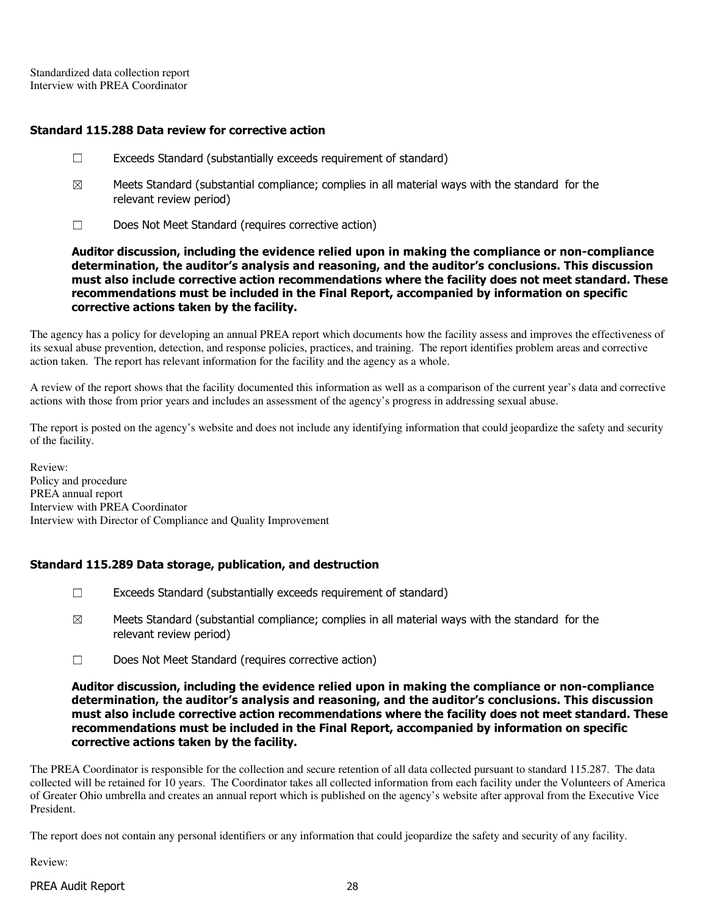Standardized data collection report Interview with PREA Coordinator

## Standard 115.288 Data review for corrective action

- ☐ Exceeds Standard (substantially exceeds requirement of standard)
- $\boxtimes$  Meets Standard (substantial compliance; complies in all material ways with the standard for the relevant review period)
- ☐ Does Not Meet Standard (requires corrective action)

Auditor discussion, including the evidence relied upon in making the compliance or non-compliance determination, the auditor's analysis and reasoning, and the auditor's conclusions. This discussion must also include corrective action recommendations where the facility does not meet standard. These recommendations must be included in the Final Report, accompanied by information on specific corrective actions taken by the facility.

The agency has a policy for developing an annual PREA report which documents how the facility assess and improves the effectiveness of its sexual abuse prevention, detection, and response policies, practices, and training. The report identifies problem areas and corrective action taken. The report has relevant information for the facility and the agency as a whole.

A review of the report shows that the facility documented this information as well as a comparison of the current year's data and corrective actions with those from prior years and includes an assessment of the agency's progress in addressing sexual abuse.

The report is posted on the agency's website and does not include any identifying information that could jeopardize the safety and security of the facility.

Review: Policy and procedure PREA annual report Interview with PREA Coordinator Interview with Director of Compliance and Quality Improvement

## Standard 115.289 Data storage, publication, and destruction

- $\Box$  Exceeds Standard (substantially exceeds requirement of standard)
- $\boxtimes$  Meets Standard (substantial compliance; complies in all material ways with the standard for the relevant review period)
- ☐ Does Not Meet Standard (requires corrective action)

Auditor discussion, including the evidence relied upon in making the compliance or non-compliance determination, the auditor's analysis and reasoning, and the auditor's conclusions. This discussion must also include corrective action recommendations where the facility does not meet standard. These recommendations must be included in the Final Report, accompanied by information on specific corrective actions taken by the facility.

The PREA Coordinator is responsible for the collection and secure retention of all data collected pursuant to standard 115.287. The data collected will be retained for 10 years. The Coordinator takes all collected information from each facility under the Volunteers of America of Greater Ohio umbrella and creates an annual report which is published on the agency's website after approval from the Executive Vice President.

The report does not contain any personal identifiers or any information that could jeopardize the safety and security of any facility.

Review:

## PREA Audit Report 28